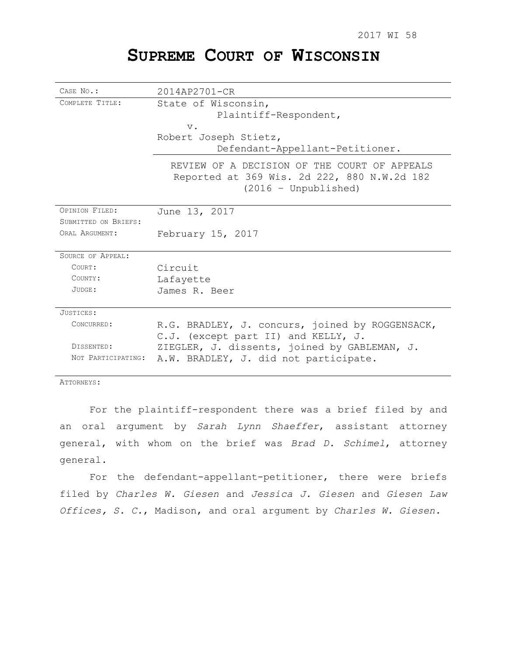# **SUPREME COURT OF WISCONSIN**

| CASE No.:                              | $2014AP2701 - CR$                                                                                                     |
|----------------------------------------|-----------------------------------------------------------------------------------------------------------------------|
| COMPLETE TITLE:                        | State of Wisconsin,<br>Plaintiff-Respondent,<br>$V$ .<br>Robert Joseph Stietz,<br>Defendant-Appellant-Petitioner.     |
|                                        | REVIEW OF A DECISION OF THE COURT OF APPEALS<br>Reported at 369 Wis. 2d 222, 880 N.W.2d 182<br>$(2016 - Unpublished)$ |
| OPINION FILED:                         | June 13, 2017                                                                                                         |
| SUBMITTED ON BRIEFS:<br>ORAL ARGUMENT: | February 15, 2017                                                                                                     |
| SOURCE OF APPEAL:                      |                                                                                                                       |
| COURT:                                 | Circuit                                                                                                               |
| COUNTY:                                | Lafayette                                                                                                             |
| JUDGE:                                 | James R. Beer                                                                                                         |
| JUSTICES:                              |                                                                                                                       |
| CONCURRED:                             | R.G. BRADLEY, J. concurs, joined by ROGGENSACK,<br>C.J. (except part II) and KELLY, J.                                |
| DISSENTED:                             | ZIEGLER, J. dissents, joined by GABLEMAN, J.                                                                          |
| NOT PARTICIPATING:                     | A.W. BRADLEY, J. did not participate.                                                                                 |

ATTORNEYS:

For the plaintiff-respondent there was a brief filed by and an oral argument by *Sarah Lynn Shaeffer*, assistant attorney general, with whom on the brief was *Brad D. Schimel*, attorney general.

For the defendant-appellant-petitioner, there were briefs filed by *Charles W. Giesen* and *Jessica J. Giesen* and *Giesen Law Offices, S. C.*, Madison, and oral argument by *Charles W. Giesen.*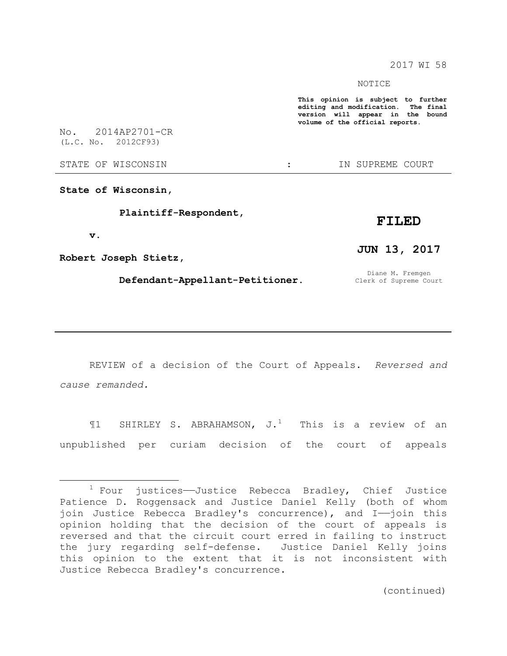2017 WI 58

NOTICE

**This opinion is subject to further editing and modification. The final version will appear in the bound volume of the official reports.** 

No. 2014AP2701-CR (L.C. No. 2012CF93)

STATE OF WISCONSIN  $\qquad \qquad : \qquad \qquad$  IN SUPREME COURT

**State of Wisconsin,**

 **Plaintiff-Respondent,**

## **FILED**

 **v.**

 $\overline{a}$ 

**Robert Joseph Stietz,**

 **Defendant-Appellant-Petitioner.**

**JUN 13, 2017**

Diane M. Fremgen Clerk of Supreme Court

REVIEW of a decision of the Court of Appeals. *Reversed and cause remanded.*

 $\P1$  SHIRLEY S. ABRAHAMSON, J.<sup>1</sup> This is a review of an unpublished per curiam decision of the court of appeals

 $1$  Four justices—Justice Rebecca Bradley, Chief Justice Patience D. Roggensack and Justice Daniel Kelly (both of whom join Justice Rebecca Bradley's concurrence), and I-join this opinion holding that the decision of the court of appeals is reversed and that the circuit court erred in failing to instruct the jury regarding self-defense. Justice Daniel Kelly joins this opinion to the extent that it is not inconsistent with Justice Rebecca Bradley's concurrence.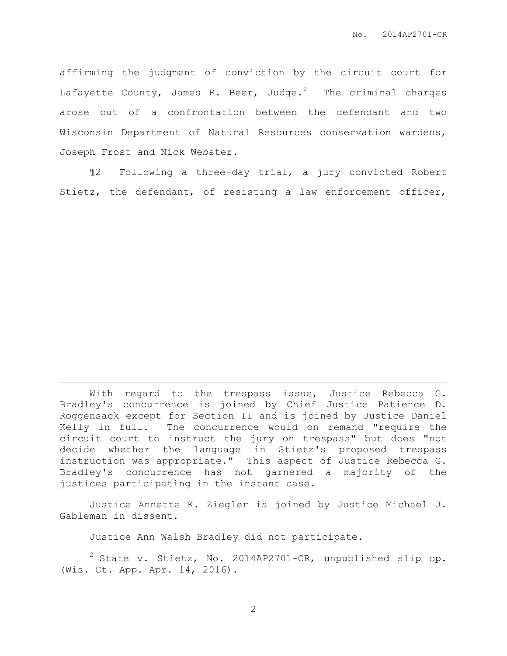affirming the judgment of conviction by the circuit court for Lafayette County, James R. Beer, Judge.<sup>2</sup> The criminal charges arose out of a confrontation between the defendant and two Wisconsin Department of Natural Resources conservation wardens, Joseph Frost and Nick Webster.

¶2 Following a three-day trial, a jury convicted Robert Stietz, the defendant, of resisting a law enforcement officer,

With regard to the trespass issue, Justice Rebecca G. Bradley's concurrence is joined by Chief Justice Patience D. Roggensack except for Section II and is joined by Justice Daniel Kelly in full. The concurrence would on remand "require the circuit court to instruct the jury on trespass" but does "not decide whether the language in Stietz's proposed trespass instruction was appropriate." This aspect of Justice Rebecca G. Bradley's concurrence has not garnered a majority of the justices participating in the instant case.

Justice Annette K. Ziegler is joined by Justice Michael J. Gableman in dissent.

Justice Ann Walsh Bradley did not participate.

 $\overline{a}$ 

 $2$  State v. Stietz, No. 2014AP2701-CR, unpublished slip op. (Wis. Ct. App. Apr. 14, 2016).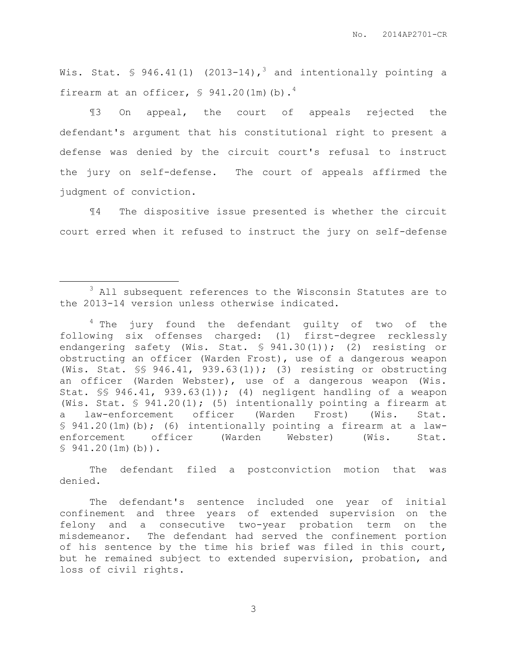No. 2014AP2701-CR

Wis. Stat. § 946.41(1) (2013-14),<sup>3</sup> and intentionally pointing a firearm at an officer,  $\frac{1}{2}$  941.20(1m)(b).<sup>4</sup>

¶3 On appeal, the court of appeals rejected the defendant's argument that his constitutional right to present a defense was denied by the circuit court's refusal to instruct the jury on self-defense. The court of appeals affirmed the judgment of conviction.

¶4 The dispositive issue presented is whether the circuit court erred when it refused to instruct the jury on self-defense

 $\overline{a}$ 

The defendant filed a postconviction motion that was denied.

<sup>&</sup>lt;sup>3</sup> All subsequent references to the Wisconsin Statutes are to the 2013-14 version unless otherwise indicated.

 $4$  The jury found the defendant quilty of two of the following six offenses charged: (1) first-degree recklessly endangering safety (Wis. Stat. § 941.30(1)); (2) resisting or obstructing an officer (Warden Frost), use of a dangerous weapon (Wis. Stat. §§ 946.41, 939.63(1)); (3) resisting or obstructing an officer (Warden Webster), use of a dangerous weapon (Wis. Stat. §§ 946.41, 939.63(1)); (4) negligent handling of a weapon (Wis. Stat. § 941.20(1); (5) intentionally pointing a firearm at a law-enforcement officer (Warden Frost) (Wis. Stat. § 941.20(1m)(b); (6) intentionally pointing a firearm at a lawenforcement officer (Warden Webster) (Wis. Stat.  $$941.20(1m)(b)$ .

The defendant's sentence included one year of initial confinement and three years of extended supervision on the felony and a consecutive two-year probation term on the misdemeanor. The defendant had served the confinement portion of his sentence by the time his brief was filed in this court, but he remained subject to extended supervision, probation, and loss of civil rights.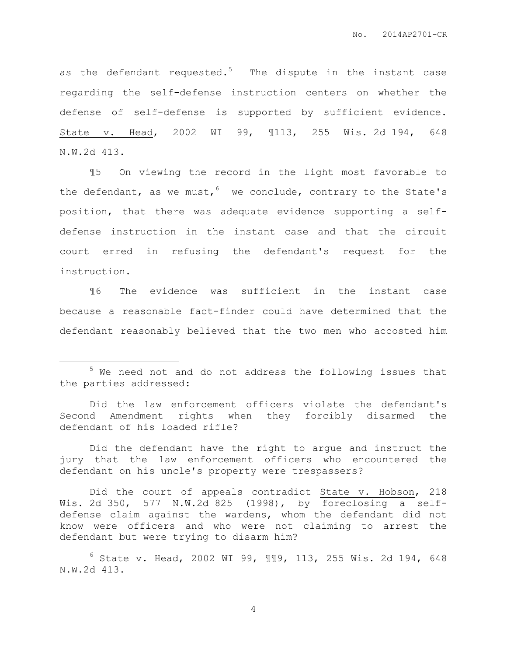as the defendant requested.<sup>5</sup> The dispute in the instant case regarding the self-defense instruction centers on whether the defense of self-defense is supported by sufficient evidence. State v. Head, 2002 WI 99, ¶113, 255 Wis. 2d 194, 648 N.W.2d 413.

¶5 On viewing the record in the light most favorable to the defendant, as we must,  $6$  we conclude, contrary to the State's position, that there was adequate evidence supporting a selfdefense instruction in the instant case and that the circuit court erred in refusing the defendant's request for the instruction.

¶6 The evidence was sufficient in the instant case because a reasonable fact-finder could have determined that the defendant reasonably believed that the two men who accosted him

 $\overline{a}$ 

<sup>5</sup> We need not and do not address the following issues that the parties addressed:

Did the law enforcement officers violate the defendant's Second Amendment rights when they forcibly disarmed the defendant of his loaded rifle?

Did the defendant have the right to argue and instruct the jury that the law enforcement officers who encountered the defendant on his uncle's property were trespassers?

Did the court of appeals contradict State v. Hobson, 218 Wis. 2d 350, 577 N.W.2d 825 (1998), by foreclosing a selfdefense claim against the wardens, whom the defendant did not know were officers and who were not claiming to arrest the defendant but were trying to disarm him?

 $6$  State v. Head, 2002 WI 99, ¶¶9, 113, 255 Wis. 2d 194, 648 N.W.2d 413.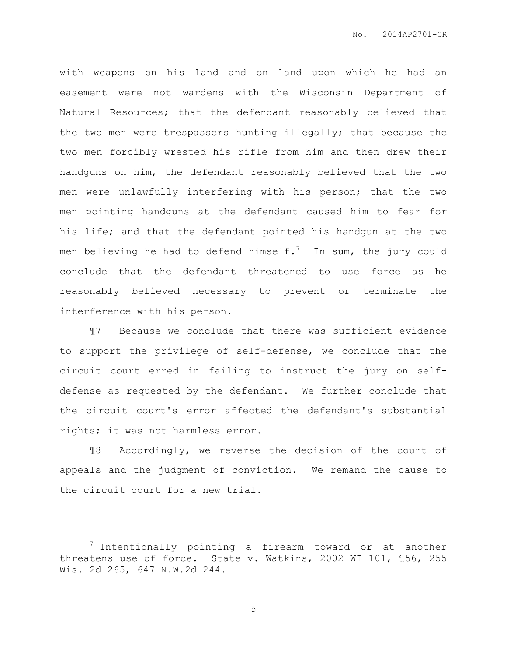with weapons on his land and on land upon which he had an easement were not wardens with the Wisconsin Department of Natural Resources; that the defendant reasonably believed that the two men were trespassers hunting illegally; that because the two men forcibly wrested his rifle from him and then drew their handguns on him, the defendant reasonably believed that the two men were unlawfully interfering with his person; that the two men pointing handguns at the defendant caused him to fear for his life; and that the defendant pointed his handgun at the two men believing he had to defend himself.<sup>7</sup> In sum, the jury could conclude that the defendant threatened to use force as he reasonably believed necessary to prevent or terminate the interference with his person.

¶7 Because we conclude that there was sufficient evidence to support the privilege of self-defense, we conclude that the circuit court erred in failing to instruct the jury on selfdefense as requested by the defendant. We further conclude that the circuit court's error affected the defendant's substantial rights; it was not harmless error.

¶8 Accordingly, we reverse the decision of the court of appeals and the judgment of conviction. We remand the cause to the circuit court for a new trial.

 $\overline{a}$ 

 $7$  Intentionally pointing a firearm toward or at another threatens use of force. State v. Watkins, 2002 WI 101, ¶56, 255 Wis. 2d 265, 647 N.W.2d 244.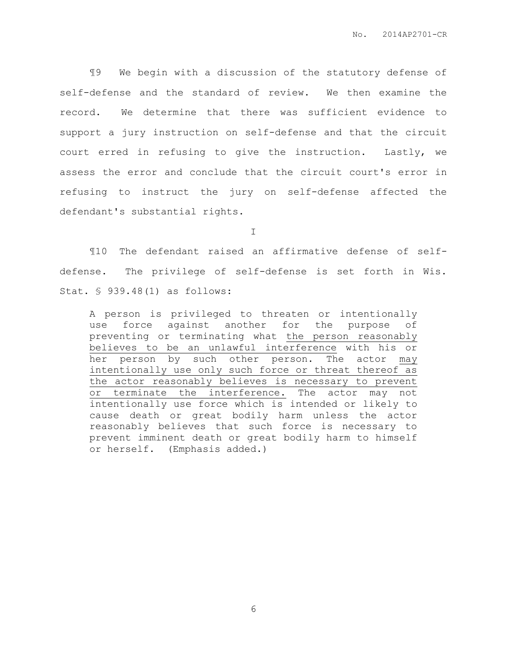¶9 We begin with a discussion of the statutory defense of self-defense and the standard of review. We then examine the record. We determine that there was sufficient evidence to support a jury instruction on self-defense and that the circuit court erred in refusing to give the instruction. Lastly, we assess the error and conclude that the circuit court's error in refusing to instruct the jury on self-defense affected the defendant's substantial rights.

I

¶10 The defendant raised an affirmative defense of selfdefense. The privilege of self-defense is set forth in Wis. Stat. § 939.48(1) as follows:

A person is privileged to threaten or intentionally use force against another for the purpose of preventing or terminating what the person reasonably believes to be an unlawful interference with his or her person by such other person. The actor may intentionally use only such force or threat thereof as the actor reasonably believes is necessary to prevent or terminate the interference. The actor may not intentionally use force which is intended or likely to cause death or great bodily harm unless the actor reasonably believes that such force is necessary to prevent imminent death or great bodily harm to himself or herself. (Emphasis added.)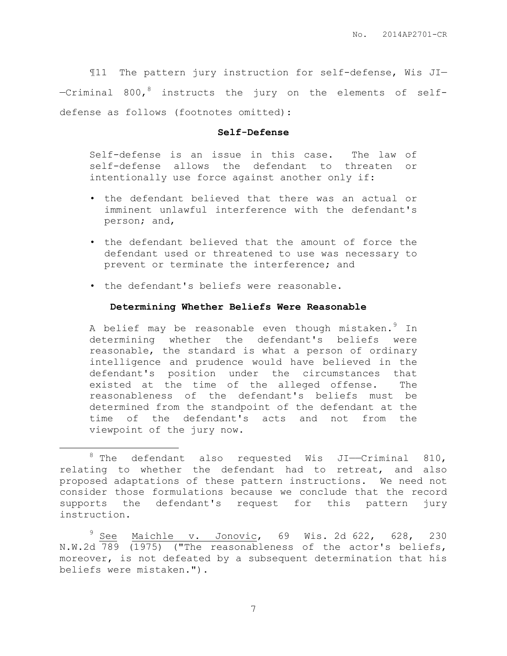¶11 The pattern jury instruction for self-defense, Wis JI— —Criminal 800, <sup>8</sup> instructs the jury on the elements of selfdefense as follows (footnotes omitted):

### **Self-Defense**

Self-defense is an issue in this case. The law of self-defense allows the defendant to threaten or intentionally use force against another only if:

- the defendant believed that there was an actual or imminent unlawful interference with the defendant's person; and,
- the defendant believed that the amount of force the defendant used or threatened to use was necessary to prevent or terminate the interference; and
- the defendant's beliefs were reasonable.

 $\overline{a}$ 

## **Determining Whether Beliefs Were Reasonable**

A belief may be reasonable even though mistaken. In determining whether the defendant's beliefs were reasonable, the standard is what a person of ordinary intelligence and prudence would have believed in the defendant's position under the circumstances that existed at the time of the alleged offense. The reasonableness of the defendant's beliefs must be determined from the standpoint of the defendant at the time of the defendant's acts and not from the viewpoint of the jury now.

 $8$  The defendant also requested Wis JI—Criminal 810, relating to whether the defendant had to retreat, and also proposed adaptations of these pattern instructions. We need not consider those formulations because we conclude that the record supports the defendant's request for this pattern jury instruction.

 $9$  See Maichle v. Jonovic, 69 Wis. 2d 622, 628, 230 N.W.2d 789 (1975) ("The reasonableness of the actor's beliefs, moreover, is not defeated by a subsequent determination that his beliefs were mistaken.").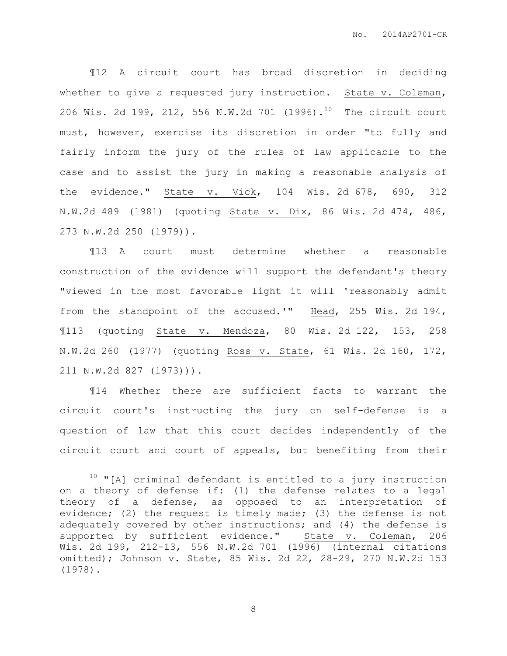¶12 A circuit court has broad discretion in deciding whether to give a requested jury instruction. State v. Coleman, 206 Wis. 2d 199, 212, 556 N.W.2d 701 (1996).<sup>10</sup> The circuit court must, however, exercise its discretion in order "to fully and fairly inform the jury of the rules of law applicable to the case and to assist the jury in making a reasonable analysis of the evidence." State v. Vick, 104 Wis. 2d 678, 690, 312 N.W.2d 489 (1981) (quoting State v. Dix, 86 Wis. 2d 474, 486, 273 N.W.2d 250 (1979)).

¶13 A court must determine whether a reasonable construction of the evidence will support the defendant's theory "viewed in the most favorable light it will 'reasonably admit from the standpoint of the accused.'" Head, 255 Wis. 2d 194, ¶113 (quoting State v. Mendoza, 80 Wis. 2d 122, 153, 258 N.W.2d 260 (1977) (quoting Ross v. State, 61 Wis. 2d 160, 172, 211 N.W.2d 827 (1973))).

¶14 Whether there are sufficient facts to warrant the circuit court's instructing the jury on self-defense is a question of law that this court decides independently of the circuit court and court of appeals, but benefiting from their

 $\overline{a}$ 

 $10$  "[A] criminal defendant is entitled to a jury instruction on a theory of defense if: (1) the defense relates to a legal theory of a defense, as opposed to an interpretation of evidence; (2) the request is timely made; (3) the defense is not adequately covered by other instructions; and (4) the defense is supported by sufficient evidence." State v. Coleman, 206 Wis. 2d 199, 212-13, 556 N.W.2d 701 (1996) (internal citations omitted); Johnson v. State, 85 Wis. 2d 22, 28-29, 270 N.W.2d 153 (1978).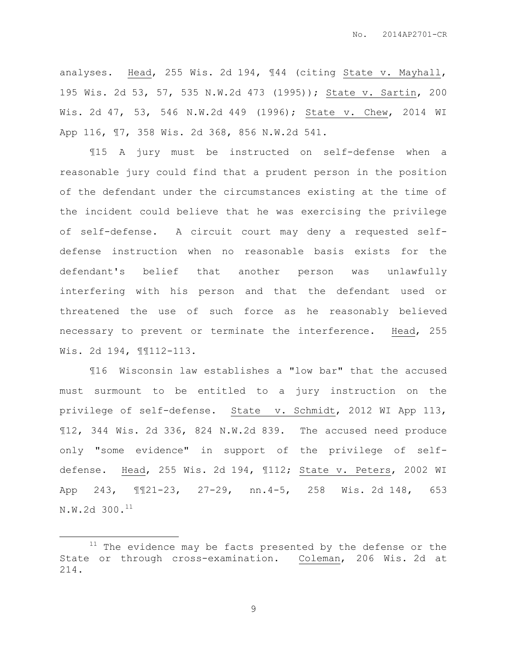analyses. Head, 255 Wis. 2d 194, ¶44 (citing State v. Mayhall, 195 Wis. 2d 53, 57, 535 N.W.2d 473 (1995)); State v. Sartin, 200 Wis. 2d 47, 53, 546 N.W.2d 449 (1996); State v. Chew, 2014 WI App 116, ¶7, 358 Wis. 2d 368, 856 N.W.2d 541.

¶15 A jury must be instructed on self-defense when a reasonable jury could find that a prudent person in the position of the defendant under the circumstances existing at the time of the incident could believe that he was exercising the privilege of self-defense. A circuit court may deny a requested selfdefense instruction when no reasonable basis exists for the defendant's belief that another person was unlawfully interfering with his person and that the defendant used or threatened the use of such force as he reasonably believed necessary to prevent or terminate the interference. Head, 255 Wis. 2d 194, ¶¶112-113.

¶16 Wisconsin law establishes a "low bar" that the accused must surmount to be entitled to a jury instruction on the privilege of self-defense. State v. Schmidt, 2012 WI App 113, ¶12, 344 Wis. 2d 336, 824 N.W.2d 839. The accused need produce only "some evidence" in support of the privilege of selfdefense. Head, 255 Wis. 2d 194, ¶112; State v. Peters, 2002 WI App 243, ¶¶21-23, 27-29, nn.4-5, 258 Wis. 2d 148, 653 N.W.2d 300.<sup>11</sup>

 $\overline{a}$ 

 $11$  The evidence may be facts presented by the defense or the State or through cross-examination. Coleman, 206 Wis. 2d at 214.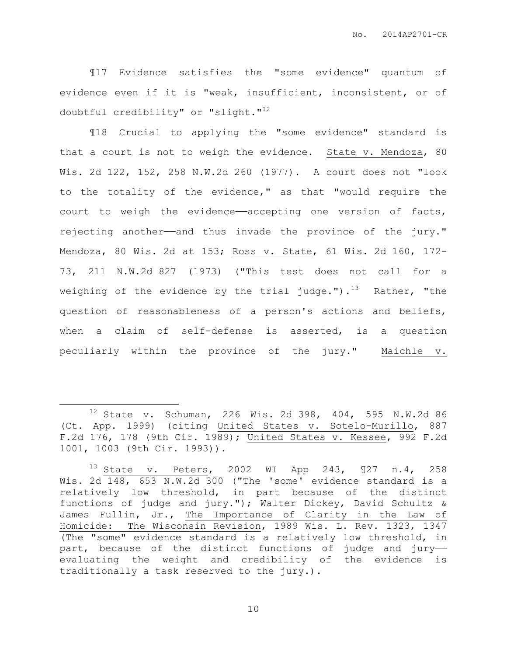¶17 Evidence satisfies the "some evidence" quantum of evidence even if it is "weak, insufficient, inconsistent, or of doubtful credibility" or "slight." $12$ 

¶18 Crucial to applying the "some evidence" standard is that a court is not to weigh the evidence. State v. Mendoza, 80 Wis. 2d 122, 152, 258 N.W.2d 260 (1977). A court does not "look to the totality of the evidence," as that "would require the court to weigh the evidence——accepting one version of facts, rejecting another—and thus invade the province of the jury." Mendoza, 80 Wis. 2d at 153; Ross v. State, 61 Wis. 2d 160, 172- 73, 211 N.W.2d 827 (1973) ("This test does not call for a weighing of the evidence by the trial judge.").<sup>13</sup> Rather, "the question of reasonableness of a person's actions and beliefs, when a claim of self-defense is asserted, is a question peculiarly within the province of the jury." Maichle v.

 $\overline{a}$ 

 $12$  State v. Schuman, 226 Wis. 2d 398, 404, 595 N.W.2d 86 (Ct. App. 1999) (citing United States v. Sotelo-Murillo, 887 F.2d 176, 178 (9th Cir. 1989); United States v. Kessee, 992 F.2d 1001, 1003 (9th Cir. 1993)).

<sup>13</sup> State v. Peters, 2002 WI App 243, ¶27 n.4, 258 Wis. 2d 148, 653 N.W.2d 300 ("The 'some' evidence standard is a relatively low threshold, in part because of the distinct functions of judge and jury."); Walter Dickey, David Schultz & James Fullin, Jr., The Importance of Clarity in the Law of Homicide: The Wisconsin Revision, 1989 Wis. L. Rev. 1323, 1347 (The "some" evidence standard is a relatively low threshold, in part, because of the distinct functions of judge and jury— evaluating the weight and credibility of the evidence is traditionally a task reserved to the jury.).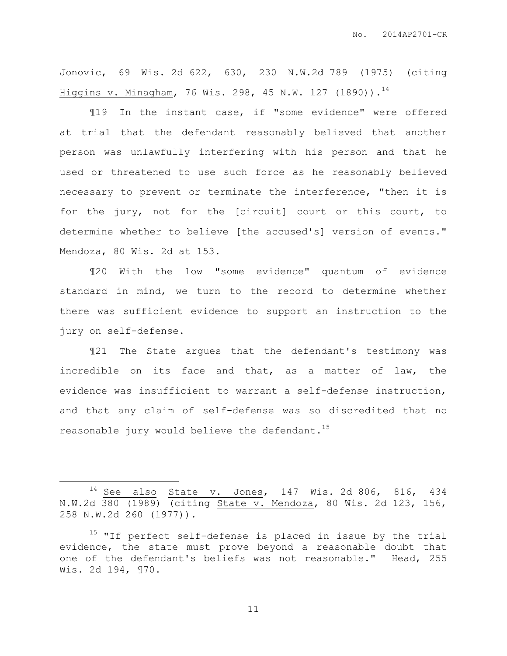Jonovic, 69 Wis. 2d 622, 630, 230 N.W.2d 789 (1975) (citing Higgins v. Minagham, 76 Wis. 298, 45 N.W. 127 (1890)).<sup>14</sup>

¶19 In the instant case, if "some evidence" were offered at trial that the defendant reasonably believed that another person was unlawfully interfering with his person and that he used or threatened to use such force as he reasonably believed necessary to prevent or terminate the interference, "then it is for the jury, not for the [circuit] court or this court, to determine whether to believe [the accused's] version of events." Mendoza, 80 Wis. 2d at 153.

¶20 With the low "some evidence" quantum of evidence standard in mind, we turn to the record to determine whether there was sufficient evidence to support an instruction to the jury on self-defense.

¶21 The State argues that the defendant's testimony was incredible on its face and that, as a matter of law, the evidence was insufficient to warrant a self-defense instruction, and that any claim of self-defense was so discredited that no reasonable jury would believe the defendant.<sup>15</sup>

 $\overline{a}$ 

 $14$  See also State v. Jones, 147 Wis. 2d 806, 816, 434 N.W.2d 380 (1989) (citing State v. Mendoza, 80 Wis. 2d 123, 156, 258 N.W.2d 260 (1977)).

 $15$  "If perfect self-defense is placed in issue by the trial evidence, the state must prove beyond a reasonable doubt that one of the defendant's beliefs was not reasonable." Head, 255 Wis. 2d 194, ¶70.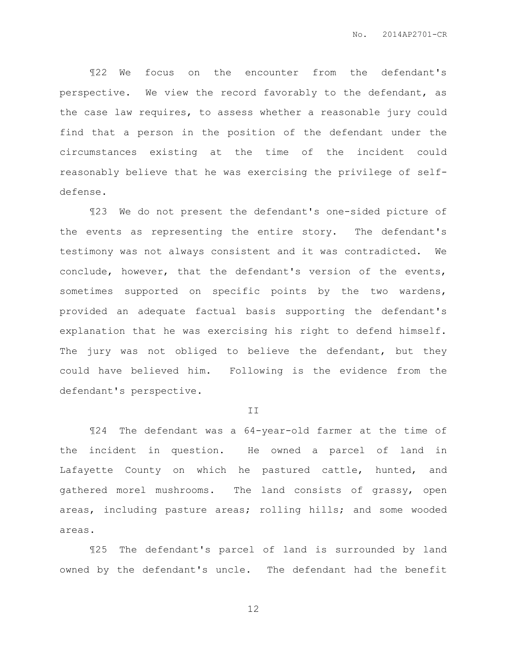¶22 We focus on the encounter from the defendant's perspective. We view the record favorably to the defendant, as the case law requires, to assess whether a reasonable jury could find that a person in the position of the defendant under the circumstances existing at the time of the incident could reasonably believe that he was exercising the privilege of selfdefense.

¶23 We do not present the defendant's one-sided picture of the events as representing the entire story. The defendant's testimony was not always consistent and it was contradicted. We conclude, however, that the defendant's version of the events, sometimes supported on specific points by the two wardens, provided an adequate factual basis supporting the defendant's explanation that he was exercising his right to defend himself. The jury was not obliged to believe the defendant, but they could have believed him. Following is the evidence from the defendant's perspective.

#### II

¶24 The defendant was a 64-year-old farmer at the time of the incident in question. He owned a parcel of land in Lafayette County on which he pastured cattle, hunted, and gathered morel mushrooms. The land consists of grassy, open areas, including pasture areas; rolling hills; and some wooded areas.

¶25 The defendant's parcel of land is surrounded by land owned by the defendant's uncle. The defendant had the benefit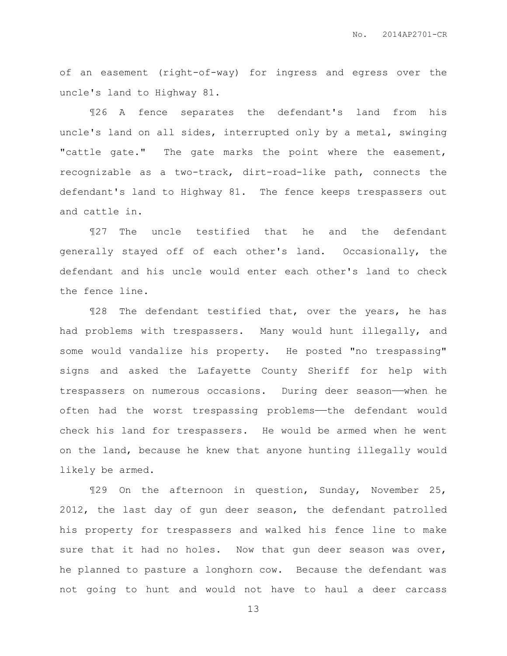of an easement (right-of-way) for ingress and egress over the uncle's land to Highway 81.

¶26 A fence separates the defendant's land from his uncle's land on all sides, interrupted only by a metal, swinging "cattle gate." The gate marks the point where the easement, recognizable as a two-track, dirt-road-like path, connects the defendant's land to Highway 81. The fence keeps trespassers out and cattle in.

¶27 The uncle testified that he and the defendant generally stayed off of each other's land. Occasionally, the defendant and his uncle would enter each other's land to check the fence line.

¶28 The defendant testified that, over the years, he has had problems with trespassers. Many would hunt illegally, and some would vandalize his property. He posted "no trespassing" signs and asked the Lafayette County Sheriff for help with trespassers on numerous occasions. During deer season——when he often had the worst trespassing problems——the defendant would check his land for trespassers. He would be armed when he went on the land, because he knew that anyone hunting illegally would likely be armed.

¶29 On the afternoon in question, Sunday, November 25, 2012, the last day of gun deer season, the defendant patrolled his property for trespassers and walked his fence line to make sure that it had no holes. Now that gun deer season was over, he planned to pasture a longhorn cow. Because the defendant was not going to hunt and would not have to haul a deer carcass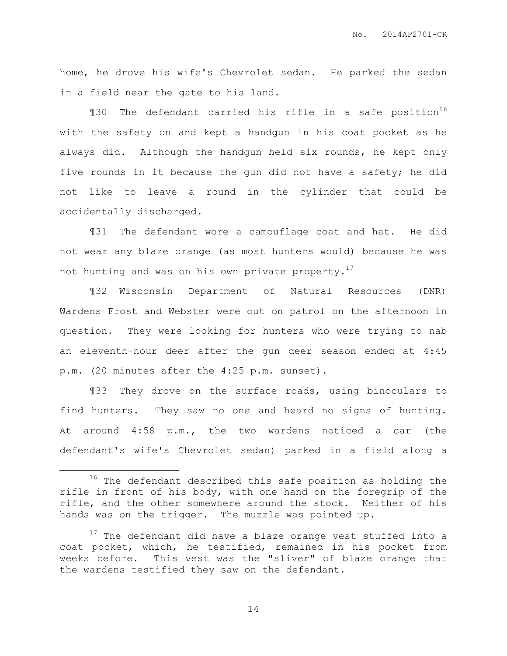home, he drove his wife's Chevrolet sedan. He parked the sedan in a field near the gate to his land.

130 The defendant carried his rifle in a safe position<sup>16</sup> with the safety on and kept a handgun in his coat pocket as he always did. Although the handgun held six rounds, he kept only five rounds in it because the gun did not have a safety; he did not like to leave a round in the cylinder that could be accidentally discharged.

¶31 The defendant wore a camouflage coat and hat. He did not wear any blaze orange (as most hunters would) because he was not hunting and was on his own private property.<sup>17</sup>

¶32 Wisconsin Department of Natural Resources (DNR) Wardens Frost and Webster were out on patrol on the afternoon in question. They were looking for hunters who were trying to nab an eleventh-hour deer after the gun deer season ended at 4:45 p.m. (20 minutes after the 4:25 p.m. sunset).

¶33 They drove on the surface roads, using binoculars to find hunters. They saw no one and heard no signs of hunting. At around 4:58 p.m., the two wardens noticed a car (the defendant's wife's Chevrolet sedan) parked in a field along a

 $\overline{a}$ 

<sup>&</sup>lt;sup>16</sup> The defendant described this safe position as holding the rifle in front of his body, with one hand on the foregrip of the rifle, and the other somewhere around the stock. Neither of his hands was on the trigger. The muzzle was pointed up.

 $17$  The defendant did have a blaze orange vest stuffed into a coat pocket, which, he testified, remained in his pocket from weeks before. This vest was the "sliver" of blaze orange that the wardens testified they saw on the defendant.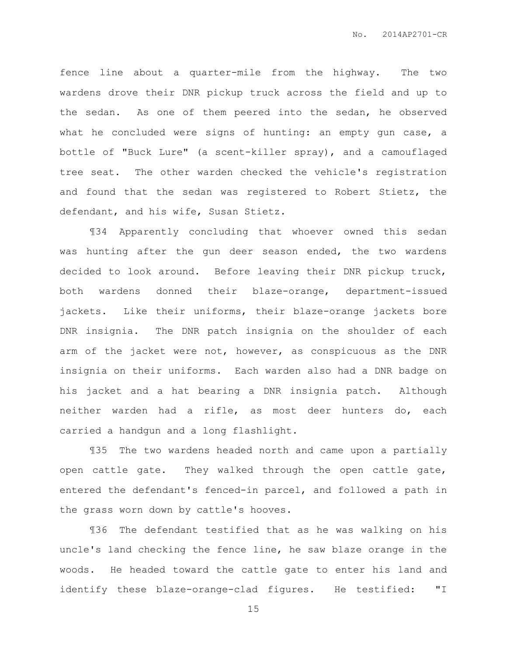fence line about a quarter-mile from the highway. The two wardens drove their DNR pickup truck across the field and up to the sedan. As one of them peered into the sedan, he observed what he concluded were signs of hunting: an empty gun case, a bottle of "Buck Lure" (a scent-killer spray), and a camouflaged tree seat. The other warden checked the vehicle's registration and found that the sedan was registered to Robert Stietz, the defendant, and his wife, Susan Stietz.

¶34 Apparently concluding that whoever owned this sedan was hunting after the gun deer season ended, the two wardens decided to look around. Before leaving their DNR pickup truck, both wardens donned their blaze-orange, department-issued jackets. Like their uniforms, their blaze-orange jackets bore DNR insignia. The DNR patch insignia on the shoulder of each arm of the jacket were not, however, as conspicuous as the DNR insignia on their uniforms. Each warden also had a DNR badge on his jacket and a hat bearing a DNR insignia patch. Although neither warden had a rifle, as most deer hunters do, each carried a handgun and a long flashlight.

¶35 The two wardens headed north and came upon a partially open cattle gate. They walked through the open cattle gate, entered the defendant's fenced-in parcel, and followed a path in the grass worn down by cattle's hooves.

¶36 The defendant testified that as he was walking on his uncle's land checking the fence line, he saw blaze orange in the woods. He headed toward the cattle gate to enter his land and identify these blaze-orange-clad figures. He testified: "I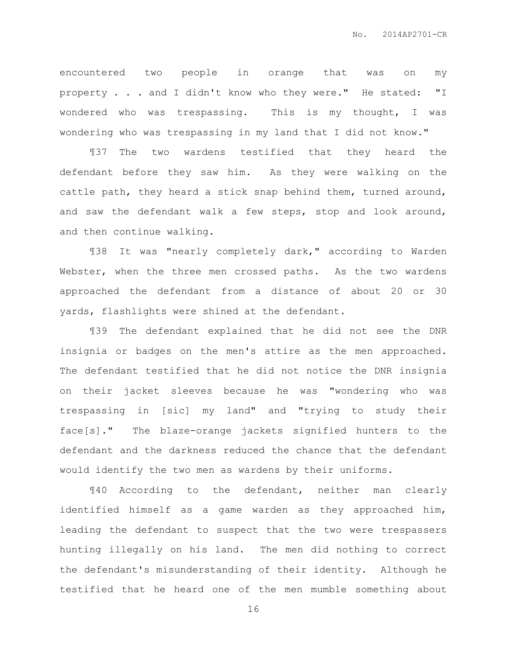encountered two people in orange that was on my property . . . and I didn't know who they were." He stated: "I wondered who was trespassing. This is my thought, I was wondering who was trespassing in my land that I did not know."

¶37 The two wardens testified that they heard the defendant before they saw him. As they were walking on the cattle path, they heard a stick snap behind them, turned around, and saw the defendant walk a few steps, stop and look around, and then continue walking.

¶38 It was "nearly completely dark," according to Warden Webster, when the three men crossed paths. As the two wardens approached the defendant from a distance of about 20 or 30 yards, flashlights were shined at the defendant.

¶39 The defendant explained that he did not see the DNR insignia or badges on the men's attire as the men approached. The defendant testified that he did not notice the DNR insignia on their jacket sleeves because he was "wondering who was trespassing in [sic] my land" and "trying to study their face[s]." The blaze-orange jackets signified hunters to the defendant and the darkness reduced the chance that the defendant would identify the two men as wardens by their uniforms.

¶40 According to the defendant, neither man clearly identified himself as a game warden as they approached him, leading the defendant to suspect that the two were trespassers hunting illegally on his land. The men did nothing to correct the defendant's misunderstanding of their identity. Although he testified that he heard one of the men mumble something about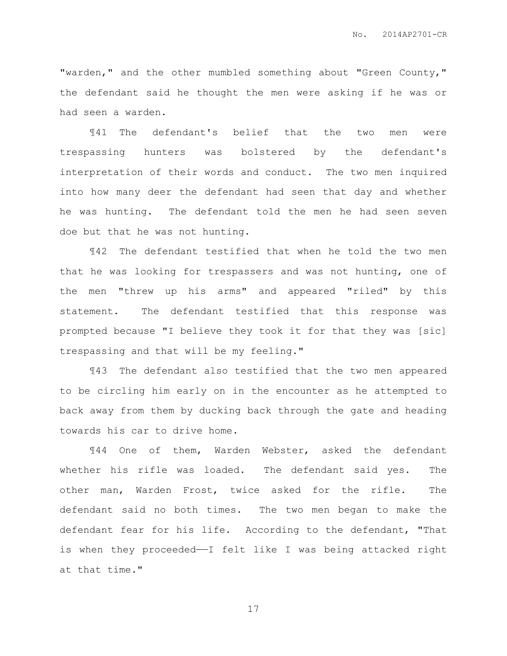"warden," and the other mumbled something about "Green County," the defendant said he thought the men were asking if he was or had seen a warden.

¶41 The defendant's belief that the two men were trespassing hunters was bolstered by the defendant's interpretation of their words and conduct. The two men inquired into how many deer the defendant had seen that day and whether he was hunting. The defendant told the men he had seen seven doe but that he was not hunting.

¶42 The defendant testified that when he told the two men that he was looking for trespassers and was not hunting, one of the men "threw up his arms" and appeared "riled" by this statement. The defendant testified that this response was prompted because "I believe they took it for that they was [sic] trespassing and that will be my feeling."

¶43 The defendant also testified that the two men appeared to be circling him early on in the encounter as he attempted to back away from them by ducking back through the gate and heading towards his car to drive home.

¶44 One of them, Warden Webster, asked the defendant whether his rifle was loaded. The defendant said yes. The other man, Warden Frost, twice asked for the rifle. The defendant said no both times. The two men began to make the defendant fear for his life. According to the defendant, "That is when they proceeded—I felt like I was being attacked right at that time."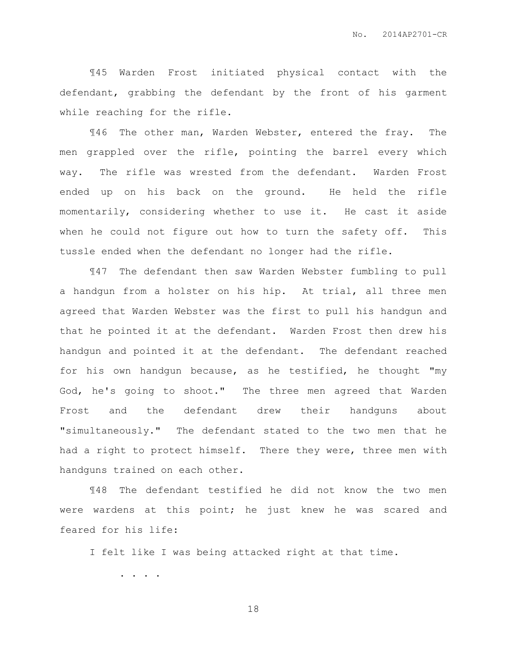¶45 Warden Frost initiated physical contact with the defendant, grabbing the defendant by the front of his garment while reaching for the rifle.

¶46 The other man, Warden Webster, entered the fray. The men grappled over the rifle, pointing the barrel every which way. The rifle was wrested from the defendant. Warden Frost ended up on his back on the ground. He held the rifle momentarily, considering whether to use it. He cast it aside when he could not figure out how to turn the safety off. This tussle ended when the defendant no longer had the rifle.

¶47 The defendant then saw Warden Webster fumbling to pull a handgun from a holster on his hip. At trial, all three men agreed that Warden Webster was the first to pull his handgun and that he pointed it at the defendant. Warden Frost then drew his handgun and pointed it at the defendant. The defendant reached for his own handgun because, as he testified, he thought "my God, he's going to shoot." The three men agreed that Warden Frost and the defendant drew their handguns about "simultaneously." The defendant stated to the two men that he had a right to protect himself. There they were, three men with handguns trained on each other.

¶48 The defendant testified he did not know the two men were wardens at this point; he just knew he was scared and feared for his life:

I felt like I was being attacked right at that time.

. . . .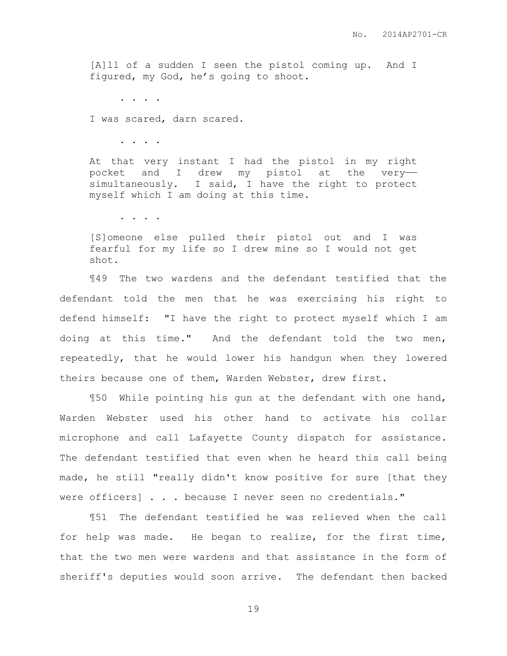[A]ll of a sudden I seen the pistol coming up. And I figured, my God, he's going to shoot.

. . . .

I was scared, darn scared.

. . . .

At that very instant I had the pistol in my right pocket and I drew my pistol at the very— simultaneously. I said, I have the right to protect myself which I am doing at this time.

. . . .

[S]omeone else pulled their pistol out and I was fearful for my life so I drew mine so I would not get shot.

¶49 The two wardens and the defendant testified that the defendant told the men that he was exercising his right to defend himself: "I have the right to protect myself which I am doing at this time." And the defendant told the two men, repeatedly, that he would lower his handgun when they lowered theirs because one of them, Warden Webster, drew first.

¶50 While pointing his gun at the defendant with one hand, Warden Webster used his other hand to activate his collar microphone and call Lafayette County dispatch for assistance. The defendant testified that even when he heard this call being made, he still "really didn't know positive for sure [that they were officers] . . . because I never seen no credentials."

¶51 The defendant testified he was relieved when the call for help was made. He began to realize, for the first time, that the two men were wardens and that assistance in the form of sheriff's deputies would soon arrive. The defendant then backed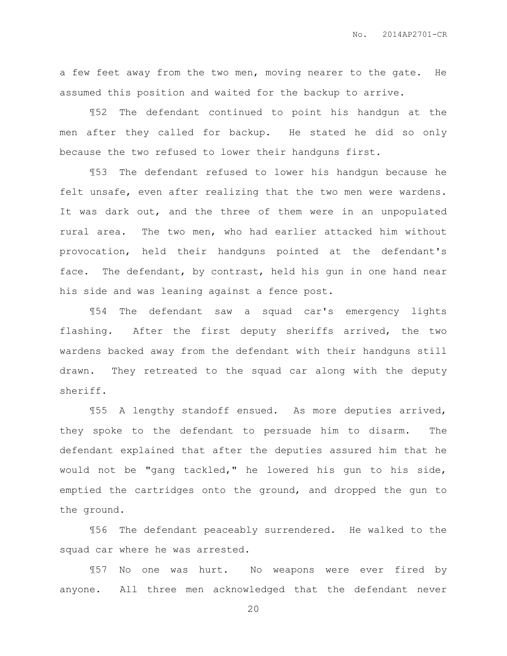a few feet away from the two men, moving nearer to the gate. He assumed this position and waited for the backup to arrive.

¶52 The defendant continued to point his handgun at the men after they called for backup. He stated he did so only because the two refused to lower their handguns first.

¶53 The defendant refused to lower his handgun because he felt unsafe, even after realizing that the two men were wardens. It was dark out, and the three of them were in an unpopulated rural area. The two men, who had earlier attacked him without provocation, held their handguns pointed at the defendant's face. The defendant, by contrast, held his gun in one hand near his side and was leaning against a fence post.

¶54 The defendant saw a squad car's emergency lights flashing. After the first deputy sheriffs arrived, the two wardens backed away from the defendant with their handguns still drawn. They retreated to the squad car along with the deputy sheriff.

¶55 A lengthy standoff ensued. As more deputies arrived, they spoke to the defendant to persuade him to disarm. The defendant explained that after the deputies assured him that he would not be "gang tackled," he lowered his gun to his side, emptied the cartridges onto the ground, and dropped the gun to the ground.

¶56 The defendant peaceably surrendered. He walked to the squad car where he was arrested.

¶57 No one was hurt. No weapons were ever fired by anyone. All three men acknowledged that the defendant never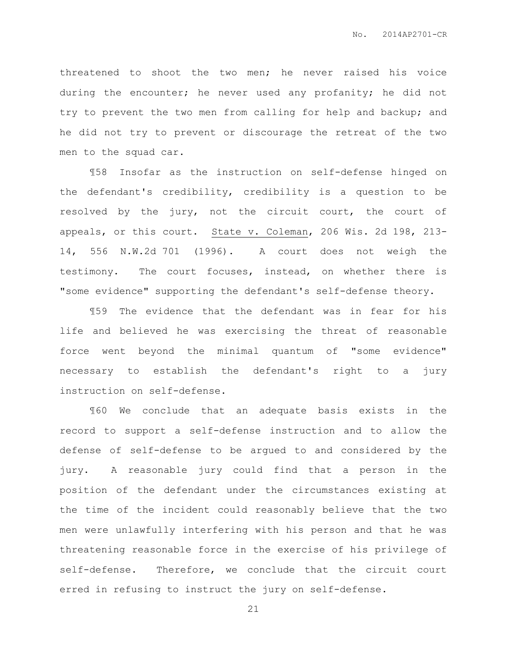threatened to shoot the two men; he never raised his voice during the encounter; he never used any profanity; he did not try to prevent the two men from calling for help and backup; and he did not try to prevent or discourage the retreat of the two men to the squad car.

¶58 Insofar as the instruction on self-defense hinged on the defendant's credibility, credibility is a question to be resolved by the jury, not the circuit court, the court of appeals, or this court. State v. Coleman, 206 Wis. 2d 198, 213- 14, 556 N.W.2d 701 (1996). A court does not weigh the testimony. The court focuses, instead, on whether there is "some evidence" supporting the defendant's self-defense theory.

¶59 The evidence that the defendant was in fear for his life and believed he was exercising the threat of reasonable force went beyond the minimal quantum of "some evidence" necessary to establish the defendant's right to a jury instruction on self-defense.

¶60 We conclude that an adequate basis exists in the record to support a self-defense instruction and to allow the defense of self-defense to be argued to and considered by the jury. A reasonable jury could find that a person in the position of the defendant under the circumstances existing at the time of the incident could reasonably believe that the two men were unlawfully interfering with his person and that he was threatening reasonable force in the exercise of his privilege of self-defense. Therefore, we conclude that the circuit court erred in refusing to instruct the jury on self-defense.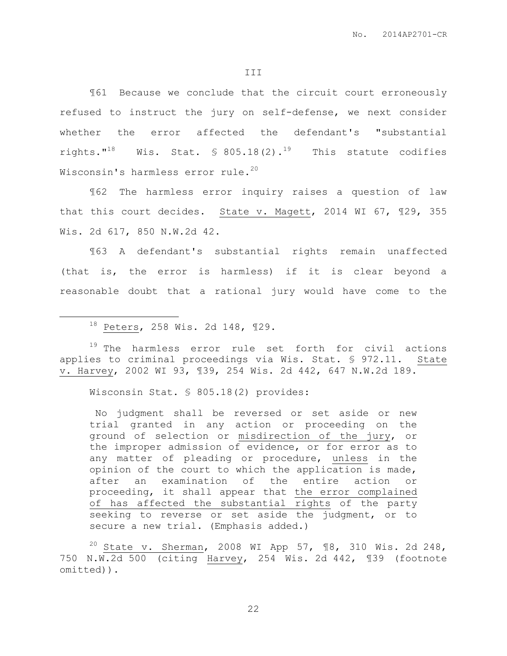¶61 Because we conclude that the circuit court erroneously refused to instruct the jury on self-defense, we next consider whether the error affected the defendant's "substantial rights."<sup>18</sup> Wis. Stat.  $\frac{18}{18}$  805.18(2).<sup>19</sup> This statute codifies Wisconsin's harmless error rule.<sup>20</sup>

¶62 The harmless error inquiry raises a question of law that this court decides. State v. Magett, 2014 WI 67, ¶29, 355 Wis. 2d 617, 850 N.W.2d 42.

¶63 A defendant's substantial rights remain unaffected (that is, the error is harmless) if it is clear beyond a reasonable doubt that a rational jury would have come to the

<sup>18</sup> Peters, 258 Wis. 2d 148, ¶29.

 $\overline{a}$ 

<sup>19</sup> The harmless error rule set forth for civil actions applies to criminal proceedings via Wis. Stat. § 972.11. State v. Harvey, 2002 WI 93, ¶39, 254 Wis. 2d 442, 647 N.W.2d 189.

Wisconsin Stat. § 805.18(2) provides:

No judgment shall be reversed or set aside or new trial granted in any action or proceeding on the ground of selection or misdirection of the jury, or the improper admission of evidence, or for error as to any matter of pleading or procedure, unless in the opinion of the court to which the application is made, after an examination of the entire action or proceeding, it shall appear that the error complained of has affected the substantial rights of the party seeking to reverse or set aside the judgment, or to secure a new trial. (Emphasis added.)

 $20$  State v. Sherman, 2008 WI App 57, 18, 310 Wis. 2d 248, 750 N.W.2d 500 (citing Harvey, 254 Wis. 2d 442, ¶39 (footnote omitted)).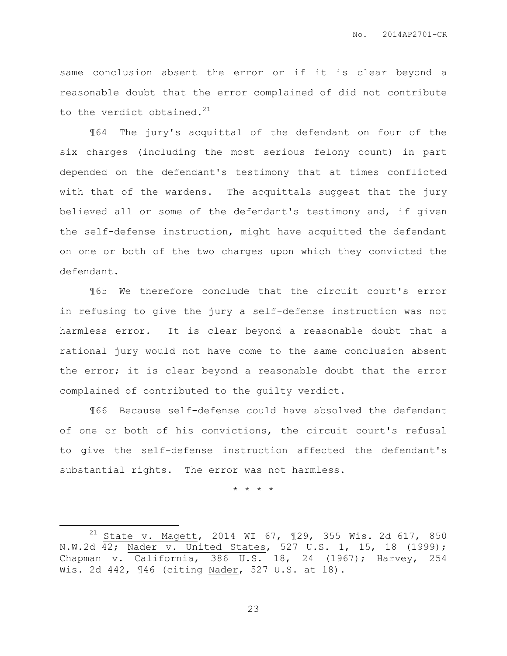same conclusion absent the error or if it is clear beyond a reasonable doubt that the error complained of did not contribute to the verdict obtained. $^{21}$ 

¶64 The jury's acquittal of the defendant on four of the six charges (including the most serious felony count) in part depended on the defendant's testimony that at times conflicted with that of the wardens. The acquittals suggest that the jury believed all or some of the defendant's testimony and, if given the self-defense instruction, might have acquitted the defendant on one or both of the two charges upon which they convicted the defendant.

¶65 We therefore conclude that the circuit court's error in refusing to give the jury a self-defense instruction was not harmless error. It is clear beyond a reasonable doubt that a rational jury would not have come to the same conclusion absent the error; it is clear beyond a reasonable doubt that the error complained of contributed to the guilty verdict.

¶66 Because self-defense could have absolved the defendant of one or both of his convictions, the circuit court's refusal to give the self-defense instruction affected the defendant's substantial rights. The error was not harmless.

\* \* \* \*

 $\overline{a}$ 

 $21$  State v. Magett, 2014 WI 67, 129, 355 Wis. 2d 617, 850 N.W.2d 42; Nader v. United States, 527 U.S. 1, 15, 18 (1999); Chapman v. California, 386 U.S. 18, 24 (1967); Harvey, 254 Wis. 2d 442, ¶46 (citing Nader, 527 U.S. at 18).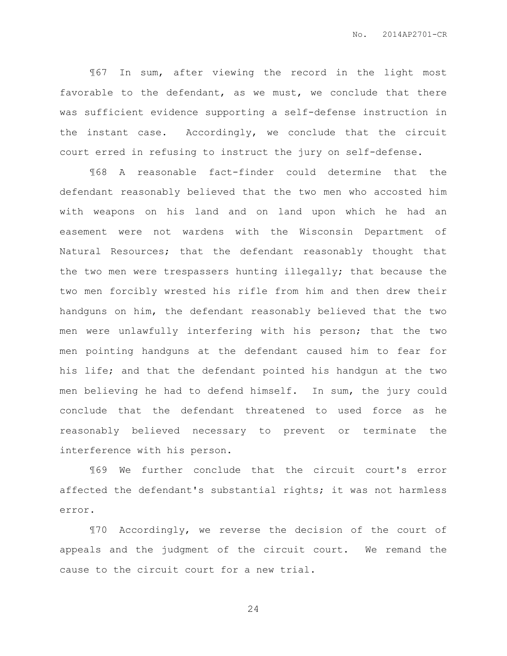¶67 In sum, after viewing the record in the light most favorable to the defendant, as we must, we conclude that there was sufficient evidence supporting a self-defense instruction in the instant case. Accordingly, we conclude that the circuit court erred in refusing to instruct the jury on self-defense.

¶68 A reasonable fact-finder could determine that the defendant reasonably believed that the two men who accosted him with weapons on his land and on land upon which he had an easement were not wardens with the Wisconsin Department of Natural Resources; that the defendant reasonably thought that the two men were trespassers hunting illegally; that because the two men forcibly wrested his rifle from him and then drew their handguns on him, the defendant reasonably believed that the two men were unlawfully interfering with his person; that the two men pointing handguns at the defendant caused him to fear for his life; and that the defendant pointed his handgun at the two men believing he had to defend himself. In sum, the jury could conclude that the defendant threatened to used force as he reasonably believed necessary to prevent or terminate the interference with his person.

¶69 We further conclude that the circuit court's error affected the defendant's substantial rights; it was not harmless error.

¶70 Accordingly, we reverse the decision of the court of appeals and the judgment of the circuit court. We remand the cause to the circuit court for a new trial.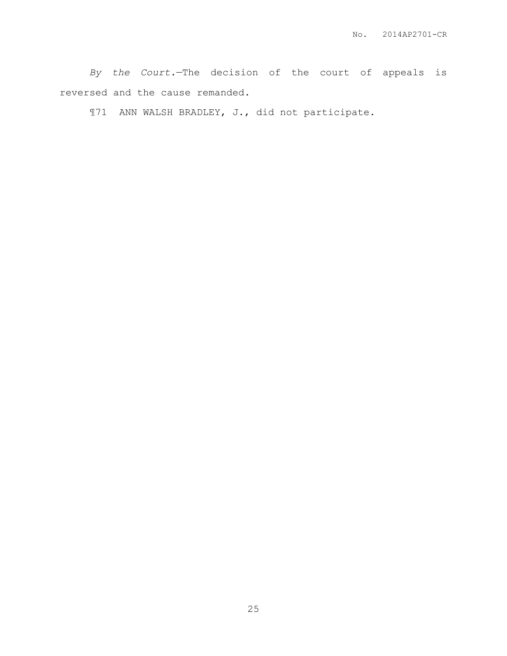*By the Court.*—The decision of the court of appeals is reversed and the cause remanded.

¶71 ANN WALSH BRADLEY, J., did not participate.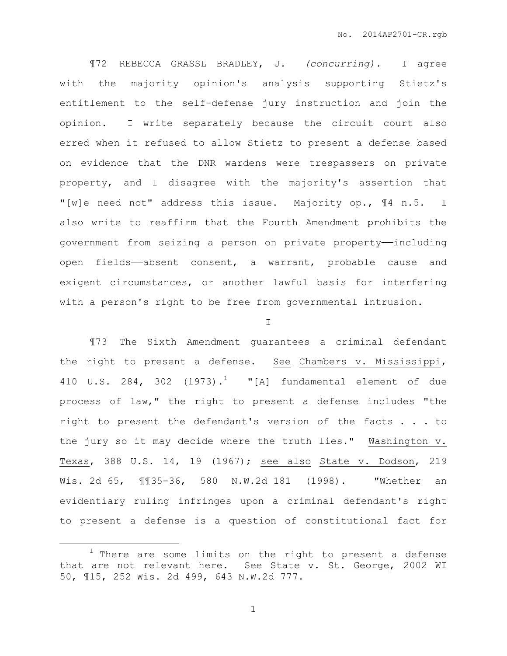¶72 REBECCA GRASSL BRADLEY, J. *(concurring).* I agree with the majority opinion's analysis supporting Stietz's entitlement to the self-defense jury instruction and join the opinion. I write separately because the circuit court also erred when it refused to allow Stietz to present a defense based on evidence that the DNR wardens were trespassers on private property, and I disagree with the majority's assertion that "[w]e need not" address this issue. Majority op., ¶4 n.5. I also write to reaffirm that the Fourth Amendment prohibits the government from seizing a person on private property-including open fields——absent consent, a warrant, probable cause and exigent circumstances, or another lawful basis for interfering with a person's right to be free from governmental intrusion.

#### I

¶73 The Sixth Amendment guarantees a criminal defendant the right to present a defense. See Chambers v. Mississippi, 410 U.S. 284, 302  $(1973)$ .<sup>1</sup> "[A] fundamental element of due process of law," the right to present a defense includes "the right to present the defendant's version of the facts . . . to the jury so it may decide where the truth lies." Washington v. Texas, 388 U.S. 14, 19 (1967); see also State v. Dodson, 219 Wis. 2d 65, ¶¶35-36, 580 N.W.2d 181 (1998). "Whether an evidentiary ruling infringes upon a criminal defendant's right to present a defense is a question of constitutional fact for

 $\overline{a}$ 

 $1$  There are some limits on the right to present a defense that are not relevant here. See State v. St. George, 2002 WI 50, ¶15, 252 Wis. 2d 499, 643 N.W.2d 777.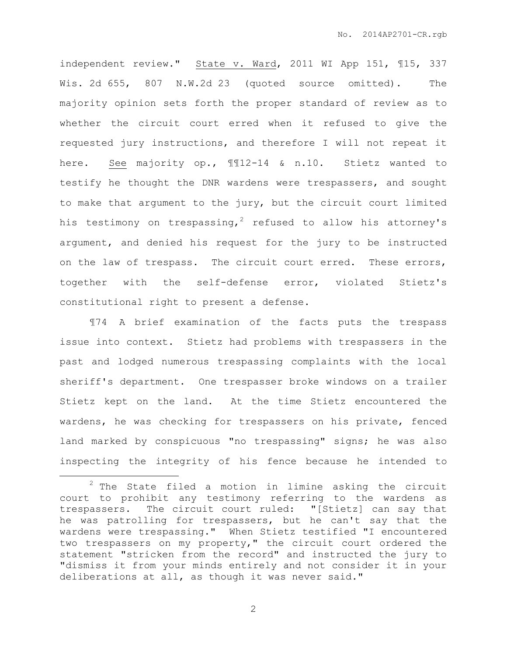independent review." State v. Ward, 2011 WI App 151, ¶15, 337 Wis. 2d 655, 807 N.W.2d 23 (quoted source omitted). The majority opinion sets forth the proper standard of review as to whether the circuit court erred when it refused to give the requested jury instructions, and therefore I will not repeat it here. See majority op., ¶¶12-14 & n.10. Stietz wanted to testify he thought the DNR wardens were trespassers, and sought to make that argument to the jury, but the circuit court limited his testimony on trespassing,<sup>2</sup> refused to allow his attorney's argument, and denied his request for the jury to be instructed on the law of trespass. The circuit court erred. These errors, together with the self-defense error, violated Stietz's constitutional right to present a defense.

¶74 A brief examination of the facts puts the trespass issue into context. Stietz had problems with trespassers in the past and lodged numerous trespassing complaints with the local sheriff's department. One trespasser broke windows on a trailer Stietz kept on the land. At the time Stietz encountered the wardens, he was checking for trespassers on his private, fenced land marked by conspicuous "no trespassing" signs; he was also inspecting the integrity of his fence because he intended to

 $\overline{a}$ 

 $2$  The State filed a motion in limine asking the circuit court to prohibit any testimony referring to the wardens as trespassers. The circuit court ruled: "[Stietz] can say that he was patrolling for trespassers, but he can't say that the wardens were trespassing." When Stietz testified "I encountered two trespassers on my property," the circuit court ordered the statement "stricken from the record" and instructed the jury to "dismiss it from your minds entirely and not consider it in your deliberations at all, as though it was never said."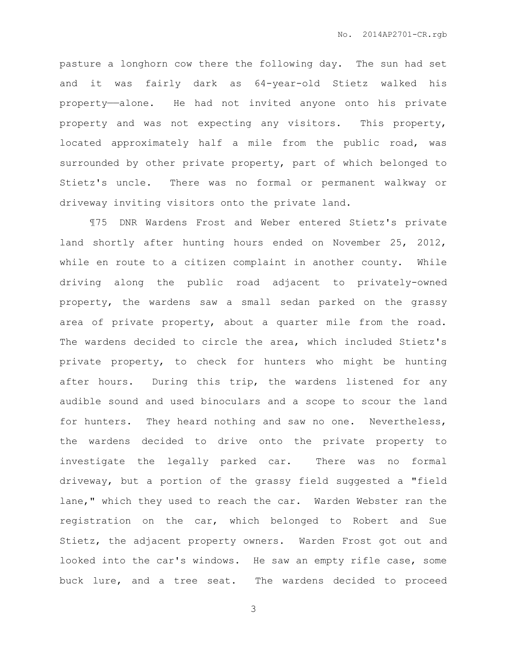pasture a longhorn cow there the following day. The sun had set and it was fairly dark as 64-year-old Stietz walked his property——alone. He had not invited anyone onto his private property and was not expecting any visitors. This property, located approximately half a mile from the public road, was surrounded by other private property, part of which belonged to Stietz's uncle. There was no formal or permanent walkway or driveway inviting visitors onto the private land.

¶75 DNR Wardens Frost and Weber entered Stietz's private land shortly after hunting hours ended on November 25, 2012, while en route to a citizen complaint in another county. While driving along the public road adjacent to privately-owned property, the wardens saw a small sedan parked on the grassy area of private property, about a quarter mile from the road. The wardens decided to circle the area, which included Stietz's private property, to check for hunters who might be hunting after hours. During this trip, the wardens listened for any audible sound and used binoculars and a scope to scour the land for hunters. They heard nothing and saw no one. Nevertheless, the wardens decided to drive onto the private property to investigate the legally parked car. There was no formal driveway, but a portion of the grassy field suggested a "field lane," which they used to reach the car. Warden Webster ran the registration on the car, which belonged to Robert and Sue Stietz, the adjacent property owners. Warden Frost got out and looked into the car's windows. He saw an empty rifle case, some buck lure, and a tree seat. The wardens decided to proceed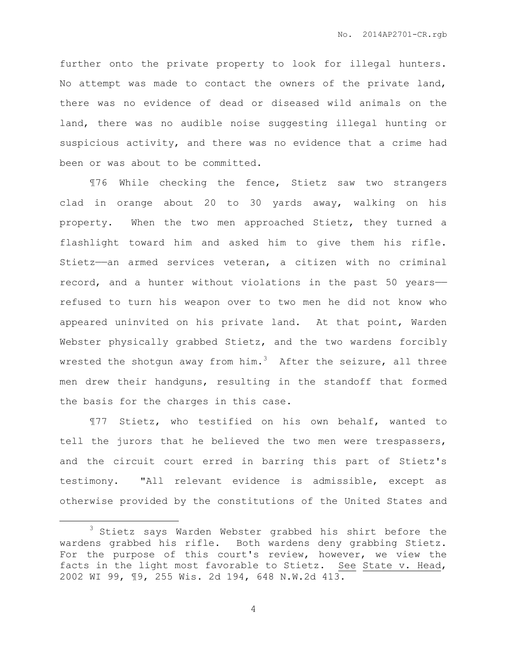further onto the private property to look for illegal hunters. No attempt was made to contact the owners of the private land, there was no evidence of dead or diseased wild animals on the land, there was no audible noise suggesting illegal hunting or suspicious activity, and there was no evidence that a crime had been or was about to be committed.

¶76 While checking the fence, Stietz saw two strangers clad in orange about 20 to 30 yards away, walking on his property. When the two men approached Stietz, they turned a flashlight toward him and asked him to give them his rifle. Stietz——an armed services veteran, a citizen with no criminal record, and a hunter without violations in the past 50 years— refused to turn his weapon over to two men he did not know who appeared uninvited on his private land. At that point, Warden Webster physically grabbed Stietz, and the two wardens forcibly wrested the shotgun away from him.<sup>3</sup> After the seizure, all three men drew their handguns, resulting in the standoff that formed the basis for the charges in this case.

¶77 Stietz, who testified on his own behalf, wanted to tell the jurors that he believed the two men were trespassers, and the circuit court erred in barring this part of Stietz's testimony. "All relevant evidence is admissible, except as otherwise provided by the constitutions of the United States and

 $\overline{a}$ 

<sup>&</sup>lt;sup>3</sup> Stietz says Warden Webster grabbed his shirt before the wardens grabbed his rifle. Both wardens deny grabbing Stietz. For the purpose of this court's review, however, we view the facts in the light most favorable to Stietz. See State v. Head, 2002 WI 99, ¶9, 255 Wis. 2d 194, 648 N.W.2d 413.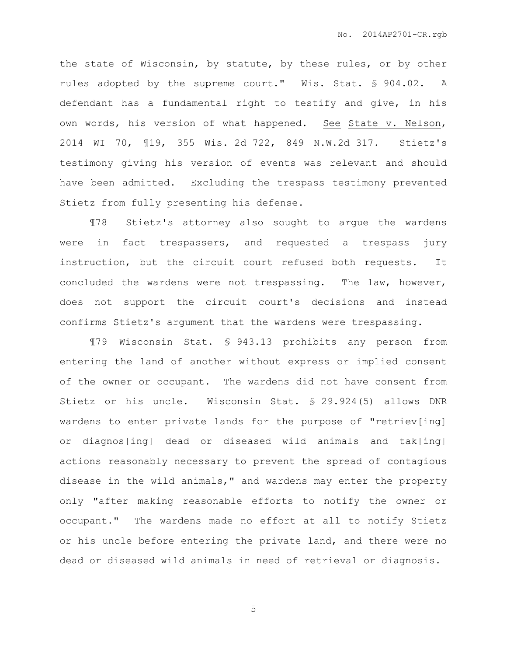the state of Wisconsin, by statute, by these rules, or by other rules adopted by the supreme court." Wis. Stat. § 904.02. A defendant has a fundamental right to testify and give, in his own words, his version of what happened. See State v. Nelson, 2014 WI 70, ¶19, 355 Wis. 2d 722, 849 N.W.2d 317. Stietz's testimony giving his version of events was relevant and should have been admitted. Excluding the trespass testimony prevented Stietz from fully presenting his defense.

¶78 Stietz's attorney also sought to argue the wardens were in fact trespassers, and requested a trespass jury instruction, but the circuit court refused both requests. It concluded the wardens were not trespassing. The law, however, does not support the circuit court's decisions and instead confirms Stietz's argument that the wardens were trespassing.

¶79 Wisconsin Stat. § 943.13 prohibits any person from entering the land of another without express or implied consent of the owner or occupant. The wardens did not have consent from Stietz or his uncle. Wisconsin Stat. § 29.924(5) allows DNR wardens to enter private lands for the purpose of "retriev[ing] or diagnos[ing] dead or diseased wild animals and tak[ing] actions reasonably necessary to prevent the spread of contagious disease in the wild animals," and wardens may enter the property only "after making reasonable efforts to notify the owner or occupant." The wardens made no effort at all to notify Stietz or his uncle before entering the private land, and there were no dead or diseased wild animals in need of retrieval or diagnosis.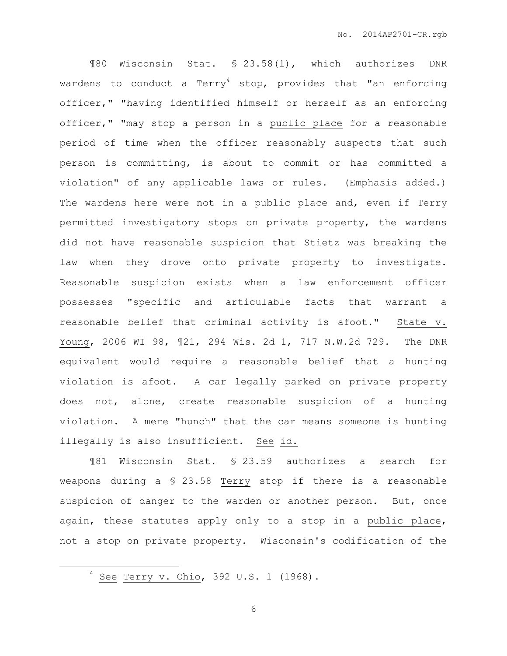¶80 Wisconsin Stat. § 23.58(1), which authorizes DNR wardens to conduct a Terry<sup>4</sup> stop, provides that "an enforcing officer," "having identified himself or herself as an enforcing officer," "may stop a person in a public place for a reasonable period of time when the officer reasonably suspects that such person is committing, is about to commit or has committed a violation" of any applicable laws or rules. (Emphasis added.) The wardens here were not in a public place and, even if Terry permitted investigatory stops on private property, the wardens did not have reasonable suspicion that Stietz was breaking the law when they drove onto private property to investigate. Reasonable suspicion exists when a law enforcement officer possesses "specific and articulable facts that warrant a reasonable belief that criminal activity is afoot." State v. Young, 2006 WI 98, ¶21, 294 Wis. 2d 1, 717 N.W.2d 729. The DNR equivalent would require a reasonable belief that a hunting violation is afoot. A car legally parked on private property does not, alone, create reasonable suspicion of a hunting violation. A mere "hunch" that the car means someone is hunting illegally is also insufficient. See id.

¶81 Wisconsin Stat. § 23.59 authorizes a search for weapons during a § 23.58 Terry stop if there is a reasonable suspicion of danger to the warden or another person. But, once again, these statutes apply only to a stop in a public place, not a stop on private property. Wisconsin's codification of the

 $\overline{a}$ 

<sup>4</sup> See Terry v. Ohio, 392 U.S. 1 (1968).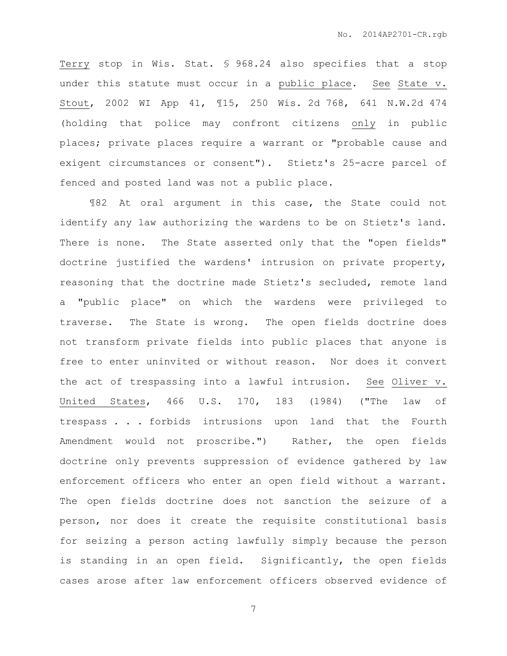Terry stop in Wis. Stat. § 968.24 also specifies that a stop under this statute must occur in a public place. See State v. Stout, 2002 WI App 41, ¶15, 250 Wis. 2d 768, 641 N.W.2d 474 (holding that police may confront citizens only in public places; private places require a warrant or "probable cause and exigent circumstances or consent"). Stietz's 25-acre parcel of fenced and posted land was not a public place.

¶82 At oral argument in this case, the State could not identify any law authorizing the wardens to be on Stietz's land. There is none. The State asserted only that the "open fields" doctrine justified the wardens' intrusion on private property, reasoning that the doctrine made Stietz's secluded, remote land a "public place" on which the wardens were privileged to traverse. The State is wrong. The open fields doctrine does not transform private fields into public places that anyone is free to enter uninvited or without reason. Nor does it convert the act of trespassing into a lawful intrusion. See Oliver v. United States, 466 U.S. 170, 183 (1984) ("The law of trespass . . . forbids intrusions upon land that the Fourth Amendment would not proscribe.") Rather, the open fields doctrine only prevents suppression of evidence gathered by law enforcement officers who enter an open field without a warrant. The open fields doctrine does not sanction the seizure of a person, nor does it create the requisite constitutional basis for seizing a person acting lawfully simply because the person is standing in an open field. Significantly, the open fields cases arose after law enforcement officers observed evidence of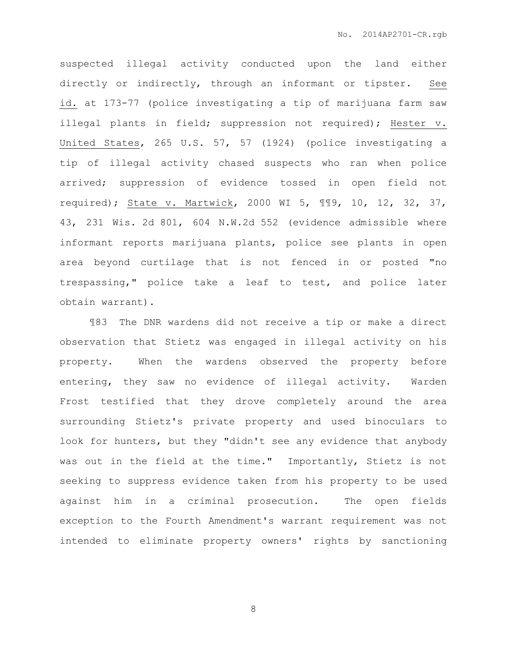suspected illegal activity conducted upon the land either directly or indirectly, through an informant or tipster. See id. at 173-77 (police investigating a tip of marijuana farm saw illegal plants in field; suppression not required); Hester v. United States, 265 U.S. 57, 57 (1924) (police investigating a tip of illegal activity chased suspects who ran when police arrived; suppression of evidence tossed in open field not required); State v. Martwick, 2000 WI 5, ¶¶9, 10, 12, 32, 37, 43, 231 Wis. 2d 801, 604 N.W.2d 552 (evidence admissible where informant reports marijuana plants, police see plants in open area beyond curtilage that is not fenced in or posted "no trespassing," police take a leaf to test, and police later obtain warrant).

¶83 The DNR wardens did not receive a tip or make a direct observation that Stietz was engaged in illegal activity on his property. When the wardens observed the property before entering, they saw no evidence of illegal activity. Warden Frost testified that they drove completely around the area surrounding Stietz's private property and used binoculars to look for hunters, but they "didn't see any evidence that anybody was out in the field at the time." Importantly, Stietz is not seeking to suppress evidence taken from his property to be used against him in a criminal prosecution. The open fields exception to the Fourth Amendment's warrant requirement was not intended to eliminate property owners' rights by sanctioning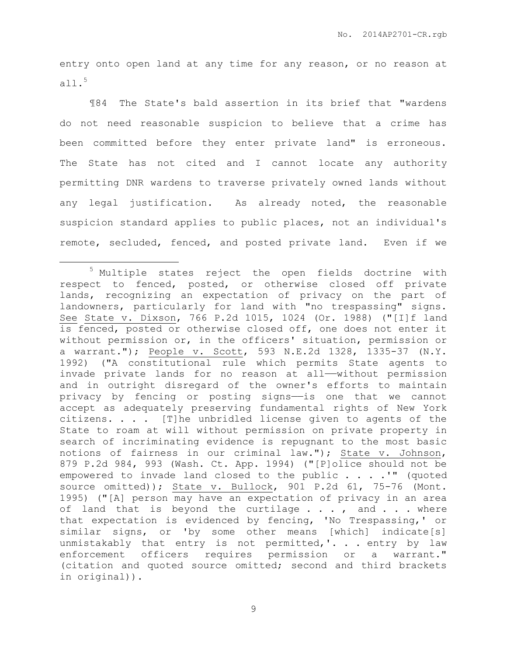entry onto open land at any time for any reason, or no reason at all. $5$ 

¶84 The State's bald assertion in its brief that "wardens do not need reasonable suspicion to believe that a crime has been committed before they enter private land" is erroneous. The State has not cited and I cannot locate any authority permitting DNR wardens to traverse privately owned lands without any legal justification. As already noted, the reasonable suspicion standard applies to public places, not an individual's remote, secluded, fenced, and posted private land. Even if we

 $\overline{a}$ 

<sup>5</sup> Multiple states reject the open fields doctrine with respect to fenced, posted, or otherwise closed off private lands, recognizing an expectation of privacy on the part of landowners, particularly for land with "no trespassing" signs. See State v. Dixson, 766 P.2d 1015, 1024 (Or. 1988) ("[I]f land is fenced, posted or otherwise closed off, one does not enter it without permission or, in the officers' situation, permission or a warrant."); People v. Scott, 593 N.E.2d 1328, 1335-37 (N.Y. 1992) ("A constitutional rule which permits State agents to invade private lands for no reason at all——without permission and in outright disregard of the owner's efforts to maintain privacy by fencing or posting signs-is one that we cannot accept as adequately preserving fundamental rights of New York citizens. . . . [T]he unbridled license given to agents of the State to roam at will without permission on private property in search of incriminating evidence is repugnant to the most basic notions of fairness in our criminal law."); State v. Johnson, 879 P.2d 984, 993 (Wash. Ct. App. 1994) ("[P]olice should not be empowered to invade land closed to the public . . . .'" (quoted source omitted)); State v. Bullock, 901 P.2d 61, 75-76 (Mont. 1995) ("[A] person may have an expectation of privacy in an area of land that is beyond the curtilage  $\ldots$ , and  $\ldots$  where that expectation is evidenced by fencing, 'No Trespassing,' or similar signs, or 'by some other means [which] indicate[s] unmistakably that entry is not permitted,'. . . entry by law enforcement officers requires permission or a warrant." (citation and quoted source omitted; second and third brackets in original)).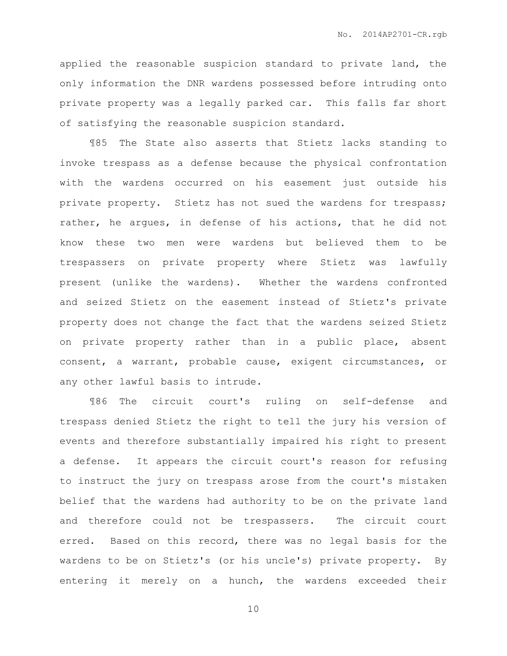applied the reasonable suspicion standard to private land, the only information the DNR wardens possessed before intruding onto private property was a legally parked car. This falls far short of satisfying the reasonable suspicion standard.

¶85 The State also asserts that Stietz lacks standing to invoke trespass as a defense because the physical confrontation with the wardens occurred on his easement just outside his private property. Stietz has not sued the wardens for trespass; rather, he argues, in defense of his actions, that he did not know these two men were wardens but believed them to be trespassers on private property where Stietz was lawfully present (unlike the wardens). Whether the wardens confronted and seized Stietz on the easement instead of Stietz's private property does not change the fact that the wardens seized Stietz on private property rather than in a public place, absent consent, a warrant, probable cause, exigent circumstances, or any other lawful basis to intrude.

¶86 The circuit court's ruling on self-defense and trespass denied Stietz the right to tell the jury his version of events and therefore substantially impaired his right to present a defense. It appears the circuit court's reason for refusing to instruct the jury on trespass arose from the court's mistaken belief that the wardens had authority to be on the private land and therefore could not be trespassers. The circuit court erred. Based on this record, there was no legal basis for the wardens to be on Stietz's (or his uncle's) private property. By entering it merely on a hunch, the wardens exceeded their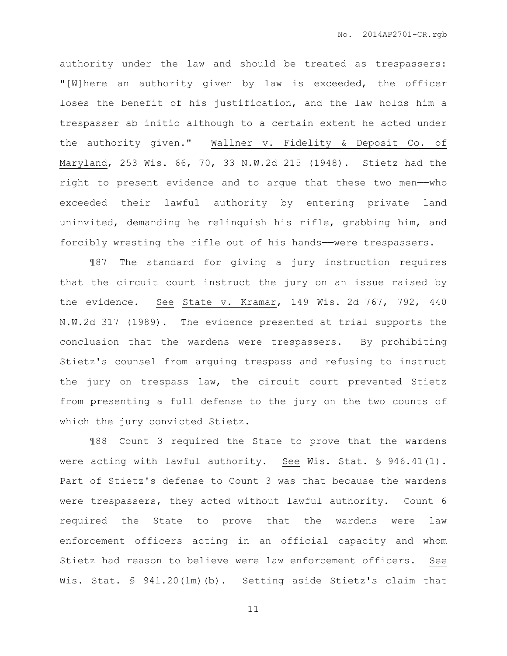authority under the law and should be treated as trespassers: "[W]here an authority given by law is exceeded, the officer loses the benefit of his justification, and the law holds him a trespasser ab initio although to a certain extent he acted under the authority given." Wallner v. Fidelity & Deposit Co. of Maryland, 253 Wis. 66, 70, 33 N.W.2d 215 (1948). Stietz had the right to present evidence and to argue that these two men——who exceeded their lawful authority by entering private land uninvited, demanding he relinquish his rifle, grabbing him, and forcibly wresting the rifle out of his hands—were trespassers.

¶87 The standard for giving a jury instruction requires that the circuit court instruct the jury on an issue raised by the evidence. See State v. Kramar, 149 Wis. 2d 767, 792, 440 N.W.2d 317 (1989). The evidence presented at trial supports the conclusion that the wardens were trespassers. By prohibiting Stietz's counsel from arguing trespass and refusing to instruct the jury on trespass law, the circuit court prevented Stietz from presenting a full defense to the jury on the two counts of which the jury convicted Stietz.

¶88 Count 3 required the State to prove that the wardens were acting with lawful authority. See Wis. Stat. § 946.41(1). Part of Stietz's defense to Count 3 was that because the wardens were trespassers, they acted without lawful authority. Count 6 required the State to prove that the wardens were law enforcement officers acting in an official capacity and whom Stietz had reason to believe were law enforcement officers. See Wis. Stat. § 941.20(1m)(b). Setting aside Stietz's claim that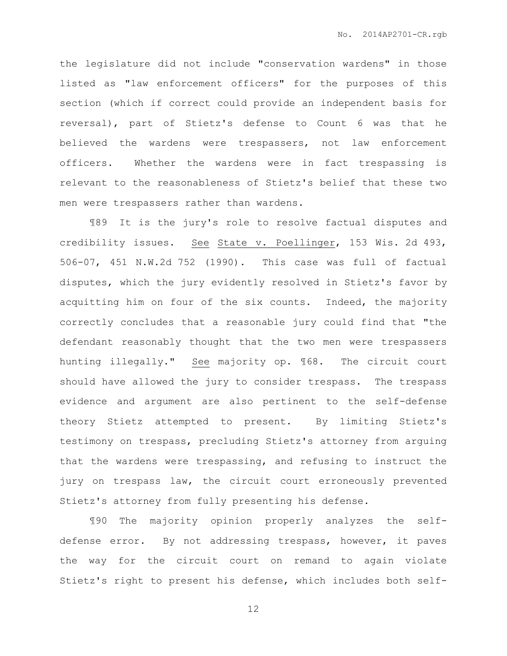the legislature did not include "conservation wardens" in those listed as "law enforcement officers" for the purposes of this section (which if correct could provide an independent basis for reversal), part of Stietz's defense to Count 6 was that he believed the wardens were trespassers, not law enforcement officers. Whether the wardens were in fact trespassing is relevant to the reasonableness of Stietz's belief that these two men were trespassers rather than wardens.

¶89 It is the jury's role to resolve factual disputes and credibility issues. See State v. Poellinger, 153 Wis. 2d 493, 506-07, 451 N.W.2d 752 (1990). This case was full of factual disputes, which the jury evidently resolved in Stietz's favor by acquitting him on four of the six counts. Indeed, the majority correctly concludes that a reasonable jury could find that "the defendant reasonably thought that the two men were trespassers hunting illegally." See majority op. ¶68. The circuit court should have allowed the jury to consider trespass. The trespass evidence and argument are also pertinent to the self-defense theory Stietz attempted to present. By limiting Stietz's testimony on trespass, precluding Stietz's attorney from arguing that the wardens were trespassing, and refusing to instruct the jury on trespass law, the circuit court erroneously prevented Stietz's attorney from fully presenting his defense.

¶90 The majority opinion properly analyzes the selfdefense error. By not addressing trespass, however, it paves the way for the circuit court on remand to again violate Stietz's right to present his defense, which includes both self-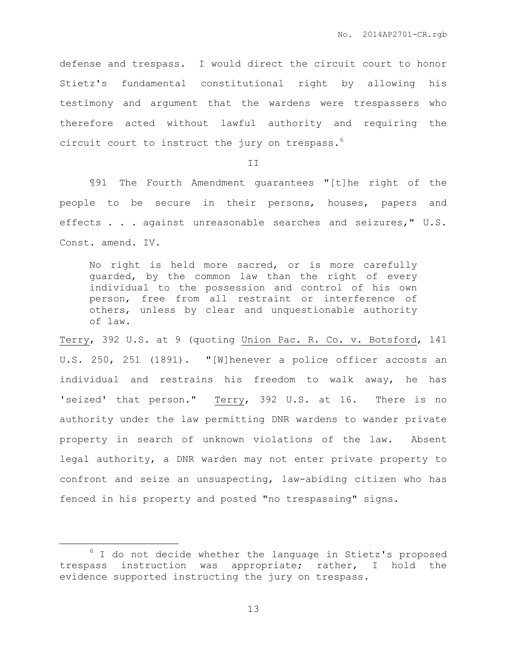defense and trespass. I would direct the circuit court to honor Stietz's fundamental constitutional right by allowing his testimony and argument that the wardens were trespassers who therefore acted without lawful authority and requiring the circuit court to instruct the jury on trespass.<sup>6</sup>

T<sub>T</sub>

¶91 The Fourth Amendment guarantees "[t]he right of the people to be secure in their persons, houses, papers and effects . . . against unreasonable searches and seizures," U.S. Const. amend. IV.

No right is held more sacred, or is more carefully guarded, by the common law than the right of every individual to the possession and control of his own person, free from all restraint or interference of others, unless by clear and unquestionable authority of law.

Terry, 392 U.S. at 9 (quoting Union Pac. R. Co. v. Botsford, 141 U.S. 250, 251 (1891). "[W]henever a police officer accosts an individual and restrains his freedom to walk away, he has 'seized' that person." Terry, 392 U.S. at 16. There is no authority under the law permitting DNR wardens to wander private property in search of unknown violations of the law. Absent legal authority, a DNR warden may not enter private property to confront and seize an unsuspecting, law-abiding citizen who has fenced in his property and posted "no trespassing" signs.

 $\overline{a}$ 

 $6$  I do not decide whether the language in Stietz's proposed trespass instruction was appropriate; rather, I hold the evidence supported instructing the jury on trespass.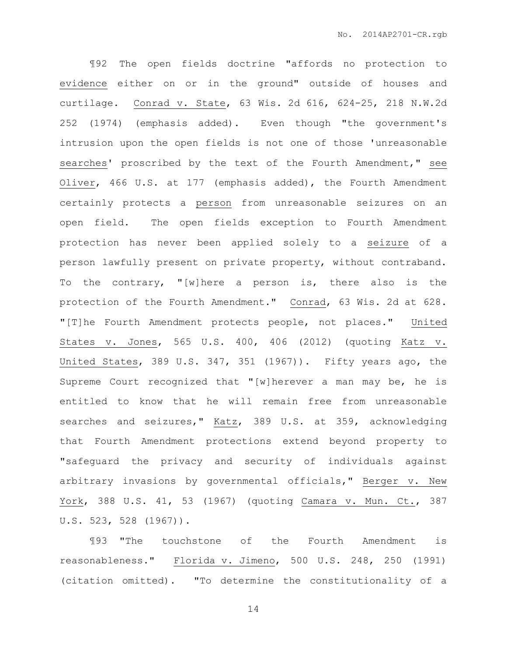¶92 The open fields doctrine "affords no protection to evidence either on or in the ground" outside of houses and curtilage. Conrad v. State, 63 Wis. 2d 616, 624-25, 218 N.W.2d 252 (1974) (emphasis added). Even though "the government's intrusion upon the open fields is not one of those 'unreasonable searches' proscribed by the text of the Fourth Amendment," see Oliver, 466 U.S. at 177 (emphasis added), the Fourth Amendment certainly protects a person from unreasonable seizures on an open field. The open fields exception to Fourth Amendment protection has never been applied solely to a seizure of a person lawfully present on private property, without contraband. To the contrary, "[w]here a person is, there also is the protection of the Fourth Amendment." Conrad, 63 Wis. 2d at 628. "[T]he Fourth Amendment protects people, not places." United States v. Jones, 565 U.S. 400, 406 (2012) (quoting Katz v. United States, 389 U.S. 347, 351 (1967)). Fifty years ago, the Supreme Court recognized that "[w]herever a man may be, he is entitled to know that he will remain free from unreasonable searches and seizures," Katz, 389 U.S. at 359, acknowledging that Fourth Amendment protections extend beyond property to "safeguard the privacy and security of individuals against arbitrary invasions by governmental officials," Berger v. New York, 388 U.S. 41, 53 (1967) (quoting Camara v. Mun. Ct., 387 U.S. 523, 528 (1967)).

¶93 "The touchstone of the Fourth Amendment is reasonableness." Florida v. Jimeno, 500 U.S. 248, 250 (1991) (citation omitted). "To determine the constitutionality of a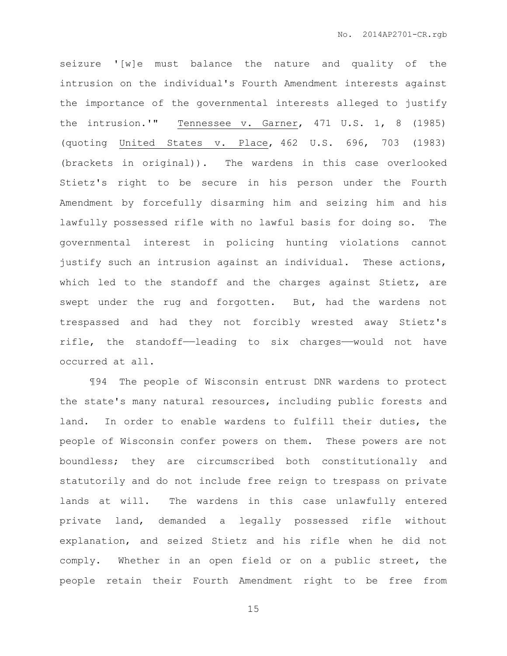seizure '[w]e must balance the nature and quality of the intrusion on the individual's Fourth Amendment interests against the importance of the governmental interests alleged to justify the intrusion.'" Tennessee v. Garner, 471 U.S. 1, 8 (1985) (quoting United States v. Place, 462 U.S. 696, 703 (1983) (brackets in original)). The wardens in this case overlooked Stietz's right to be secure in his person under the Fourth Amendment by forcefully disarming him and seizing him and his lawfully possessed rifle with no lawful basis for doing so. The governmental interest in policing hunting violations cannot justify such an intrusion against an individual. These actions, which led to the standoff and the charges against Stietz, are swept under the rug and forgotten. But, had the wardens not trespassed and had they not forcibly wrested away Stietz's rifle, the standoff——leading to six charges——would not have occurred at all.

¶94 The people of Wisconsin entrust DNR wardens to protect the state's many natural resources, including public forests and land. In order to enable wardens to fulfill their duties, the people of Wisconsin confer powers on them. These powers are not boundless; they are circumscribed both constitutionally and statutorily and do not include free reign to trespass on private lands at will. The wardens in this case unlawfully entered private land, demanded a legally possessed rifle without explanation, and seized Stietz and his rifle when he did not comply. Whether in an open field or on a public street, the people retain their Fourth Amendment right to be free from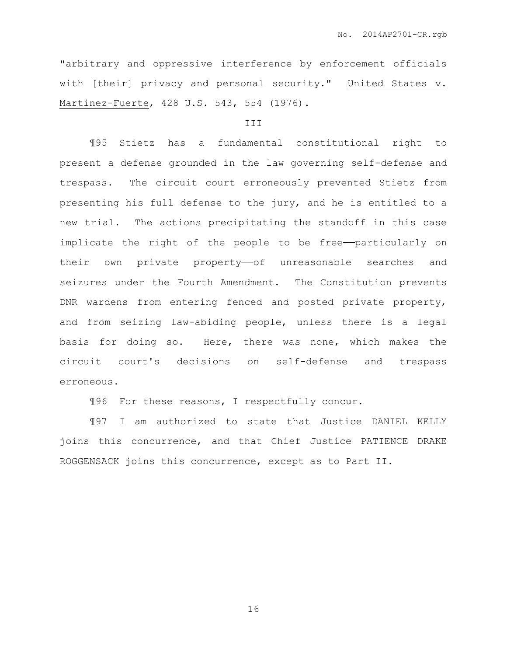"arbitrary and oppressive interference by enforcement officials with [their] privacy and personal security." United States v. Martinez-Fuerte, 428 U.S. 543, 554 (1976).

## **III**

¶95 Stietz has a fundamental constitutional right to present a defense grounded in the law governing self-defense and trespass. The circuit court erroneously prevented Stietz from presenting his full defense to the jury, and he is entitled to a new trial. The actions precipitating the standoff in this case implicate the right of the people to be free——particularly on their own private property-of unreasonable searches and seizures under the Fourth Amendment. The Constitution prevents DNR wardens from entering fenced and posted private property, and from seizing law-abiding people, unless there is a legal basis for doing so. Here, there was none, which makes the circuit court's decisions on self-defense and trespass erroneous.

¶96 For these reasons, I respectfully concur.

¶97 I am authorized to state that Justice DANIEL KELLY joins this concurrence, and that Chief Justice PATIENCE DRAKE ROGGENSACK joins this concurrence, except as to Part II.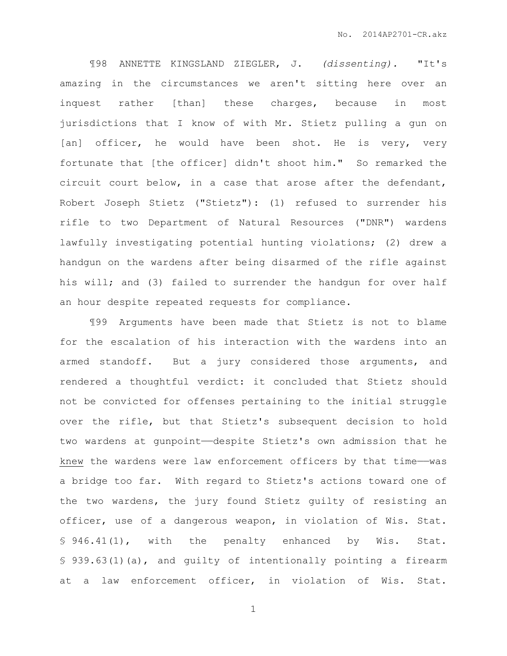¶98 ANNETTE KINGSLAND ZIEGLER, J. *(dissenting).* "It's amazing in the circumstances we aren't sitting here over an inquest rather [than] these charges, because in most jurisdictions that I know of with Mr. Stietz pulling a gun on [an] officer, he would have been shot. He is very, very fortunate that [the officer] didn't shoot him." So remarked the circuit court below, in a case that arose after the defendant, Robert Joseph Stietz ("Stietz"): (1) refused to surrender his rifle to two Department of Natural Resources ("DNR") wardens lawfully investigating potential hunting violations; (2) drew a handgun on the wardens after being disarmed of the rifle against his will; and (3) failed to surrender the handgun for over half an hour despite repeated requests for compliance.

¶99 Arguments have been made that Stietz is not to blame for the escalation of his interaction with the wardens into an armed standoff. But a jury considered those arguments, and rendered a thoughtful verdict: it concluded that Stietz should not be convicted for offenses pertaining to the initial struggle over the rifle, but that Stietz's subsequent decision to hold two wardens at gunpoint——despite Stietz's own admission that he knew the wardens were law enforcement officers by that time——was a bridge too far. With regard to Stietz's actions toward one of the two wardens, the jury found Stietz guilty of resisting an officer, use of a dangerous weapon, in violation of Wis. Stat. § 946.41(1), with the penalty enhanced by Wis. Stat. § 939.63(1)(a), and quilty of intentionally pointing a firearm at a law enforcement officer, in violation of Wis. Stat.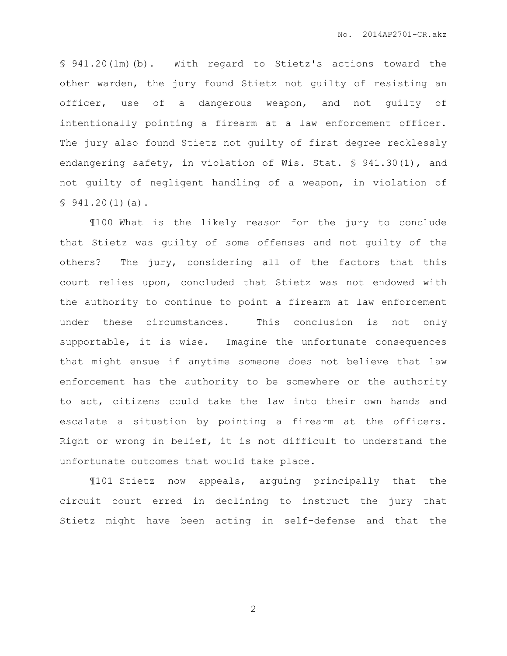§ 941.20(1m)(b). With regard to Stietz's actions toward the other warden, the jury found Stietz not guilty of resisting an officer, use of a dangerous weapon, and not guilty of intentionally pointing a firearm at a law enforcement officer. The jury also found Stietz not guilty of first degree recklessly endangering safety, in violation of Wis. Stat. § 941.30(1), and not guilty of negligent handling of a weapon, in violation of  $$941.20(1)(a).$ 

¶100 What is the likely reason for the jury to conclude that Stietz was guilty of some offenses and not guilty of the others? The jury, considering all of the factors that this court relies upon, concluded that Stietz was not endowed with the authority to continue to point a firearm at law enforcement under these circumstances. This conclusion is not only supportable, it is wise. Imagine the unfortunate consequences that might ensue if anytime someone does not believe that law enforcement has the authority to be somewhere or the authority to act, citizens could take the law into their own hands and escalate a situation by pointing a firearm at the officers. Right or wrong in belief, it is not difficult to understand the unfortunate outcomes that would take place.

¶101 Stietz now appeals, arguing principally that the circuit court erred in declining to instruct the jury that Stietz might have been acting in self-defense and that the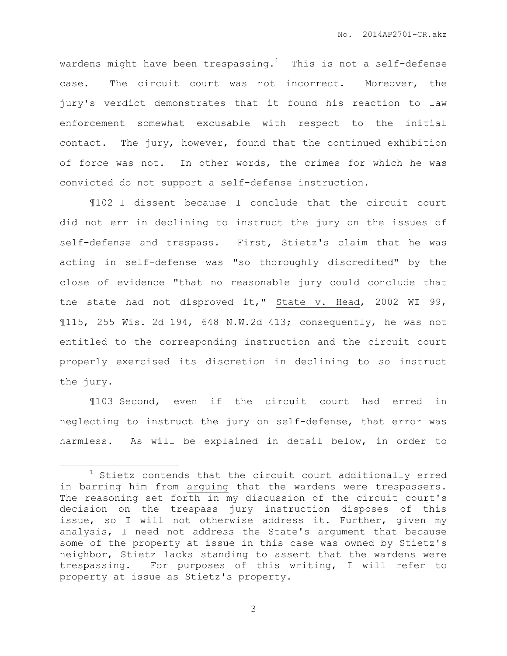wardens might have been trespassing.<sup>1</sup> This is not a self-defense case. The circuit court was not incorrect. Moreover, the jury's verdict demonstrates that it found his reaction to law enforcement somewhat excusable with respect to the initial contact. The jury, however, found that the continued exhibition of force was not. In other words, the crimes for which he was convicted do not support a self-defense instruction.

¶102 I dissent because I conclude that the circuit court did not err in declining to instruct the jury on the issues of self-defense and trespass. First, Stietz's claim that he was acting in self-defense was "so thoroughly discredited" by the close of evidence "that no reasonable jury could conclude that the state had not disproved it," State v. Head, 2002 WI 99, ¶115, 255 Wis. 2d 194, 648 N.W.2d 413; consequently, he was not entitled to the corresponding instruction and the circuit court properly exercised its discretion in declining to so instruct the jury.

¶103 Second, even if the circuit court had erred in neglecting to instruct the jury on self-defense, that error was harmless. As will be explained in detail below, in order to

 $\overline{a}$ 

 $1$  Stietz contends that the circuit court additionally erred in barring him from arguing that the wardens were trespassers. The reasoning set forth in my discussion of the circuit court's decision on the trespass jury instruction disposes of this issue, so I will not otherwise address it. Further, given my analysis, I need not address the State's argument that because some of the property at issue in this case was owned by Stietz's neighbor, Stietz lacks standing to assert that the wardens were trespassing. For purposes of this writing, I will refer to property at issue as Stietz's property.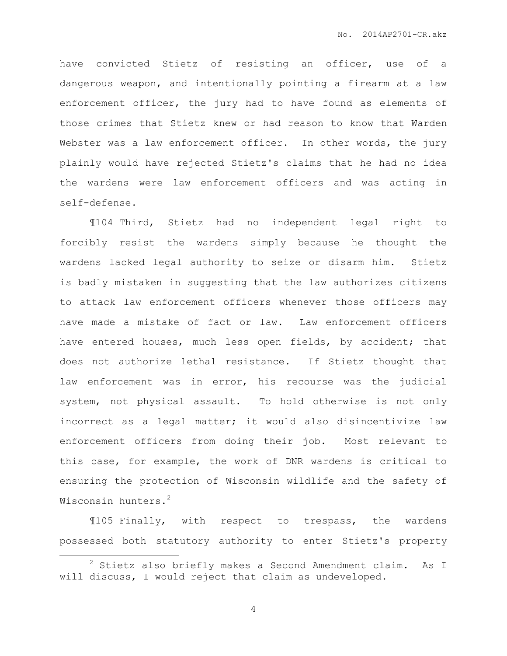have convicted Stietz of resisting an officer, use of a dangerous weapon, and intentionally pointing a firearm at a law enforcement officer, the jury had to have found as elements of those crimes that Stietz knew or had reason to know that Warden Webster was a law enforcement officer. In other words, the jury plainly would have rejected Stietz's claims that he had no idea the wardens were law enforcement officers and was acting in self-defense.

¶104 Third, Stietz had no independent legal right to forcibly resist the wardens simply because he thought the wardens lacked legal authority to seize or disarm him. Stietz is badly mistaken in suggesting that the law authorizes citizens to attack law enforcement officers whenever those officers may have made a mistake of fact or law. Law enforcement officers have entered houses, much less open fields, by accident; that does not authorize lethal resistance. If Stietz thought that law enforcement was in error, his recourse was the judicial system, not physical assault. To hold otherwise is not only incorrect as a legal matter; it would also disincentivize law enforcement officers from doing their job. Most relevant to this case, for example, the work of DNR wardens is critical to ensuring the protection of Wisconsin wildlife and the safety of Wisconsin hunters.<sup>2</sup>

¶105 Finally, with respect to trespass, the wardens possessed both statutory authority to enter Stietz's property

 $\overline{a}$ 

<sup>2</sup> Stietz also briefly makes a Second Amendment claim. As I will discuss, I would reject that claim as undeveloped.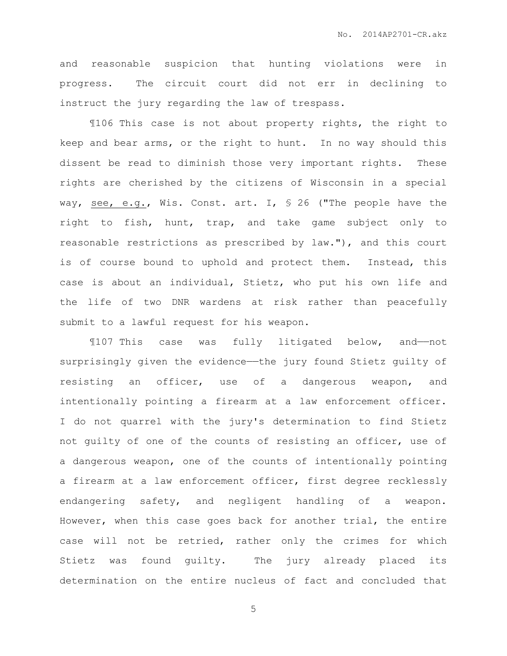and reasonable suspicion that hunting violations were in progress. The circuit court did not err in declining to instruct the jury regarding the law of trespass.

¶106 This case is not about property rights, the right to keep and bear arms, or the right to hunt. In no way should this dissent be read to diminish those very important rights. These rights are cherished by the citizens of Wisconsin in a special way, see, e.g., Wis. Const. art. I, § 26 ("The people have the right to fish, hunt, trap, and take game subject only to reasonable restrictions as prescribed by law."), and this court is of course bound to uphold and protect them. Instead, this case is about an individual, Stietz, who put his own life and the life of two DNR wardens at risk rather than peacefully submit to a lawful request for his weapon.

¶107 This case was fully litigated below, and——not surprisingly given the evidence—the jury found Stietz guilty of resisting an officer, use of a dangerous weapon, and intentionally pointing a firearm at a law enforcement officer. I do not quarrel with the jury's determination to find Stietz not guilty of one of the counts of resisting an officer, use of a dangerous weapon, one of the counts of intentionally pointing a firearm at a law enforcement officer, first degree recklessly endangering safety, and negligent handling of a weapon. However, when this case goes back for another trial, the entire case will not be retried, rather only the crimes for which Stietz was found guilty. The jury already placed its determination on the entire nucleus of fact and concluded that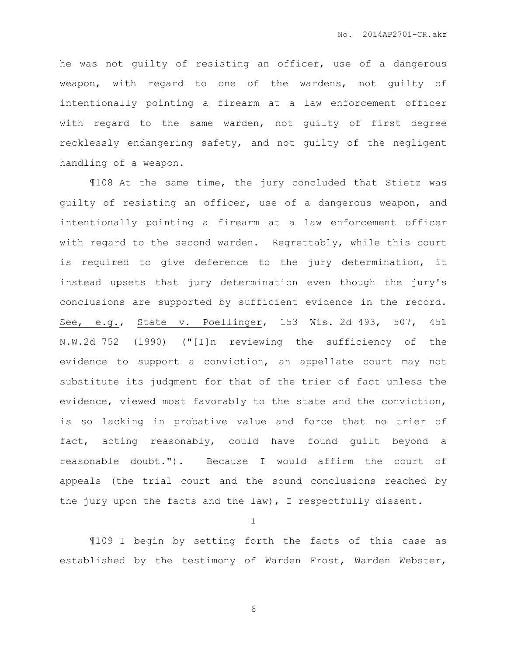he was not guilty of resisting an officer, use of a dangerous weapon, with regard to one of the wardens, not guilty of intentionally pointing a firearm at a law enforcement officer with regard to the same warden, not guilty of first degree recklessly endangering safety, and not guilty of the negligent handling of a weapon.

¶108 At the same time, the jury concluded that Stietz was guilty of resisting an officer, use of a dangerous weapon, and intentionally pointing a firearm at a law enforcement officer with regard to the second warden. Regrettably, while this court is required to give deference to the jury determination, it instead upsets that jury determination even though the jury's conclusions are supported by sufficient evidence in the record. See, e.g., State v. Poellinger, 153 Wis. 2d 493, 507, 451 N.W.2d 752 (1990) ("[I]n reviewing the sufficiency of the evidence to support a conviction, an appellate court may not substitute its judgment for that of the trier of fact unless the evidence, viewed most favorably to the state and the conviction, is so lacking in probative value and force that no trier of fact, acting reasonably, could have found guilt beyond a reasonable doubt."). Because I would affirm the court of appeals (the trial court and the sound conclusions reached by the jury upon the facts and the law), I respectfully dissent.

I

¶109 I begin by setting forth the facts of this case as established by the testimony of Warden Frost, Warden Webster,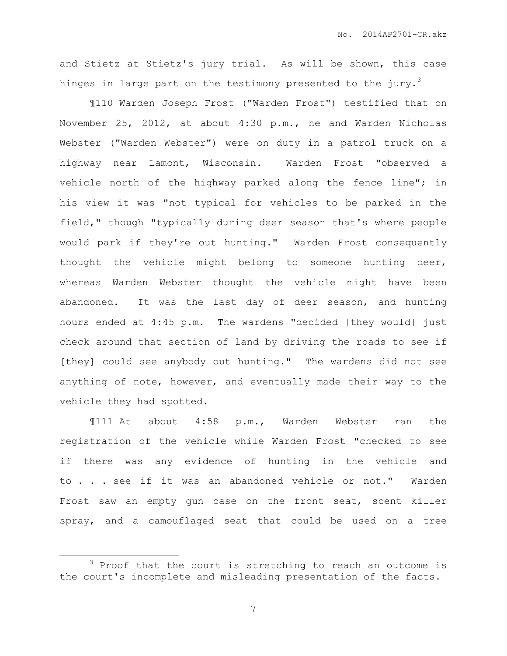and Stietz at Stietz's jury trial. As will be shown, this case hinges in large part on the testimony presented to the jury.<sup>3</sup>

¶110 Warden Joseph Frost ("Warden Frost") testified that on November 25, 2012, at about 4:30 p.m., he and Warden Nicholas Webster ("Warden Webster") were on duty in a patrol truck on a highway near Lamont, Wisconsin. Warden Frost "observed a vehicle north of the highway parked along the fence line"; in his view it was "not typical for vehicles to be parked in the field," though "typically during deer season that's where people would park if they're out hunting." Warden Frost consequently thought the vehicle might belong to someone hunting deer, whereas Warden Webster thought the vehicle might have been abandoned. It was the last day of deer season, and hunting hours ended at 4:45 p.m. The wardens "decided [they would] just check around that section of land by driving the roads to see if [they] could see anybody out hunting." The wardens did not see anything of note, however, and eventually made their way to the vehicle they had spotted.

¶111 At about 4:58 p.m., Warden Webster ran the registration of the vehicle while Warden Frost "checked to see if there was any evidence of hunting in the vehicle and to . . . see if it was an abandoned vehicle or not." Warden Frost saw an empty gun case on the front seat, scent killer spray, and a camouflaged seat that could be used on a tree

 $\overline{a}$ 

<sup>&</sup>lt;sup>3</sup> Proof that the court is stretching to reach an outcome is the court's incomplete and misleading presentation of the facts.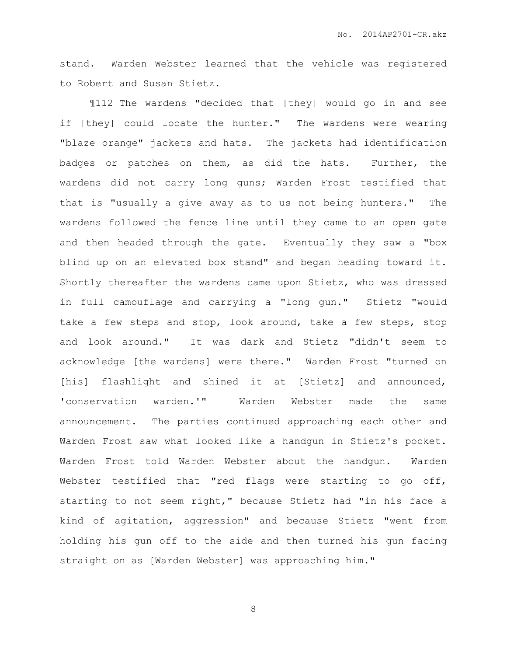stand. Warden Webster learned that the vehicle was registered to Robert and Susan Stietz.

¶112 The wardens "decided that [they] would go in and see if [they] could locate the hunter." The wardens were wearing "blaze orange" jackets and hats. The jackets had identification badges or patches on them, as did the hats. Further, the wardens did not carry long guns; Warden Frost testified that that is "usually a give away as to us not being hunters." The wardens followed the fence line until they came to an open gate and then headed through the gate. Eventually they saw a "box blind up on an elevated box stand" and began heading toward it. Shortly thereafter the wardens came upon Stietz, who was dressed in full camouflage and carrying a "long gun." Stietz "would take a few steps and stop, look around, take a few steps, stop and look around." It was dark and Stietz "didn't seem to acknowledge [the wardens] were there." Warden Frost "turned on [his] flashlight and shined it at [Stietz] and announced, 'conservation warden.'" Warden Webster made the same announcement. The parties continued approaching each other and Warden Frost saw what looked like a handgun in Stietz's pocket. Warden Frost told Warden Webster about the handgun. Warden Webster testified that "red flags were starting to go off, starting to not seem right," because Stietz had "in his face a kind of agitation, aggression" and because Stietz "went from holding his gun off to the side and then turned his gun facing straight on as [Warden Webster] was approaching him."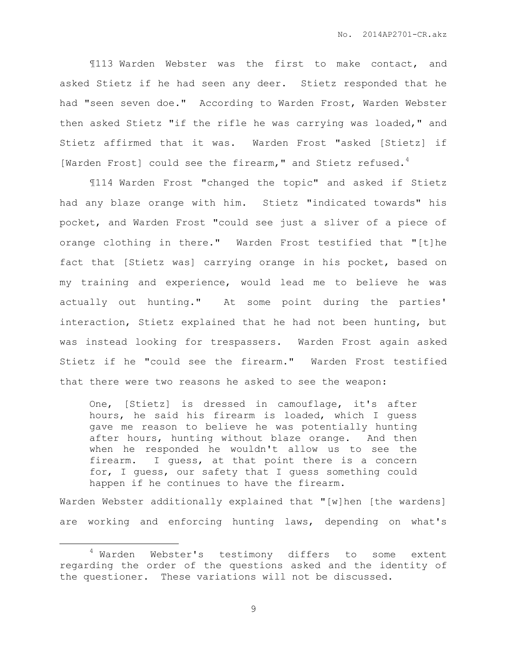¶113 Warden Webster was the first to make contact, and asked Stietz if he had seen any deer. Stietz responded that he had "seen seven doe." According to Warden Frost, Warden Webster then asked Stietz "if the rifle he was carrying was loaded," and Stietz affirmed that it was. Warden Frost "asked [Stietz] if [Warden Frost] could see the firearm," and Stietz refused.<sup>4</sup>

¶114 Warden Frost "changed the topic" and asked if Stietz had any blaze orange with him. Stietz "indicated towards" his pocket, and Warden Frost "could see just a sliver of a piece of orange clothing in there." Warden Frost testified that "[t]he fact that [Stietz was] carrying orange in his pocket, based on my training and experience, would lead me to believe he was actually out hunting." At some point during the parties' interaction, Stietz explained that he had not been hunting, but was instead looking for trespassers. Warden Frost again asked Stietz if he "could see the firearm." Warden Frost testified that there were two reasons he asked to see the weapon:

One, [Stietz] is dressed in camouflage, it's after hours, he said his firearm is loaded, which I guess gave me reason to believe he was potentially hunting after hours, hunting without blaze orange. And then when he responded he wouldn't allow us to see the firearm. I guess, at that point there is a concern for, I guess, our safety that I guess something could happen if he continues to have the firearm.

Warden Webster additionally explained that "[w]hen [the wardens] are working and enforcing hunting laws, depending on what's

 $\overline{a}$ 

<sup>4</sup> Warden Webster's testimony differs to some extent regarding the order of the questions asked and the identity of the questioner. These variations will not be discussed.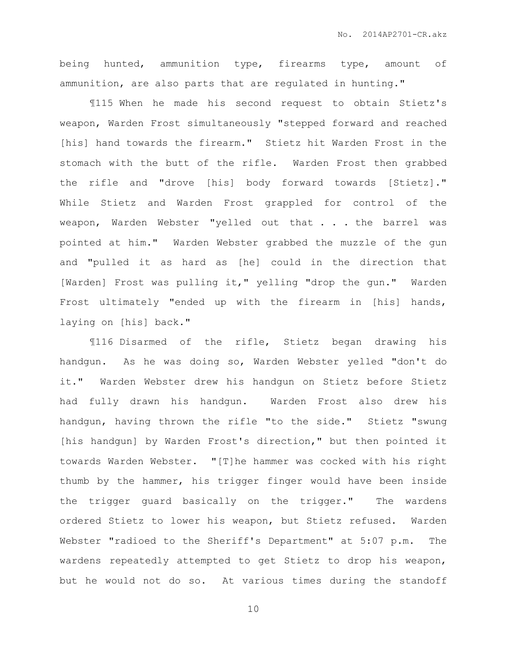being hunted, ammunition type, firearms type, amount of ammunition, are also parts that are regulated in hunting."

¶115 When he made his second request to obtain Stietz's weapon, Warden Frost simultaneously "stepped forward and reached [his] hand towards the firearm." Stietz hit Warden Frost in the stomach with the butt of the rifle. Warden Frost then grabbed the rifle and "drove [his] body forward towards [Stietz]." While Stietz and Warden Frost grappled for control of the weapon, Warden Webster "yelled out that . . . the barrel was pointed at him." Warden Webster grabbed the muzzle of the gun and "pulled it as hard as [he] could in the direction that [Warden] Frost was pulling it," yelling "drop the gun." Warden Frost ultimately "ended up with the firearm in [his] hands, laying on [his] back."

¶116 Disarmed of the rifle, Stietz began drawing his handgun. As he was doing so, Warden Webster yelled "don't do it." Warden Webster drew his handgun on Stietz before Stietz had fully drawn his handgun. Warden Frost also drew his handgun, having thrown the rifle "to the side." Stietz "swung [his handgun] by Warden Frost's direction," but then pointed it towards Warden Webster. "[T]he hammer was cocked with his right thumb by the hammer, his trigger finger would have been inside the trigger guard basically on the trigger." The wardens ordered Stietz to lower his weapon, but Stietz refused. Warden Webster "radioed to the Sheriff's Department" at 5:07 p.m. The wardens repeatedly attempted to get Stietz to drop his weapon, but he would not do so. At various times during the standoff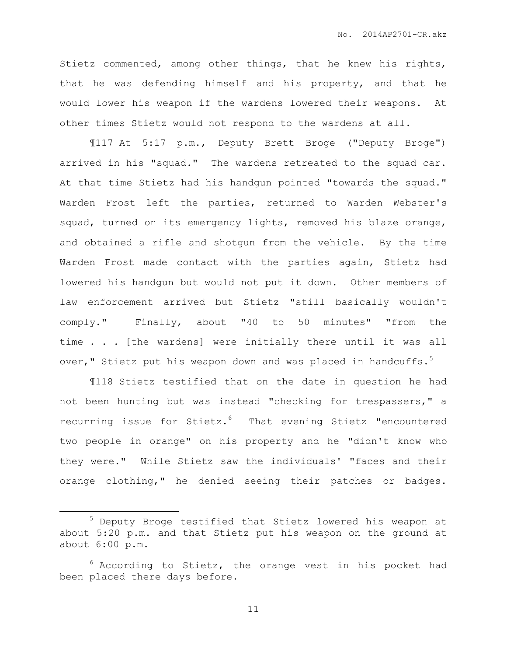Stietz commented, among other things, that he knew his rights, that he was defending himself and his property, and that he would lower his weapon if the wardens lowered their weapons. At other times Stietz would not respond to the wardens at all.

¶117 At 5:17 p.m., Deputy Brett Broge ("Deputy Broge") arrived in his "squad." The wardens retreated to the squad car. At that time Stietz had his handgun pointed "towards the squad." Warden Frost left the parties, returned to Warden Webster's squad, turned on its emergency lights, removed his blaze orange, and obtained a rifle and shotgun from the vehicle. By the time Warden Frost made contact with the parties again, Stietz had lowered his handgun but would not put it down. Other members of law enforcement arrived but Stietz "still basically wouldn't comply." Finally, about "40 to 50 minutes" "from the time . . . [the wardens] were initially there until it was all over," Stietz put his weapon down and was placed in handcuffs.<sup>5</sup>

¶118 Stietz testified that on the date in question he had not been hunting but was instead "checking for trespassers," a recurring issue for Stietz. $6$  That evening Stietz "encountered two people in orange" on his property and he "didn't know who they were." While Stietz saw the individuals' "faces and their orange clothing," he denied seeing their patches or badges.

 $\overline{a}$ 

<sup>5</sup> Deputy Broge testified that Stietz lowered his weapon at about 5:20 p.m. and that Stietz put his weapon on the ground at about 6:00 p.m.

 $6$  According to Stietz, the orange vest in his pocket had been placed there days before.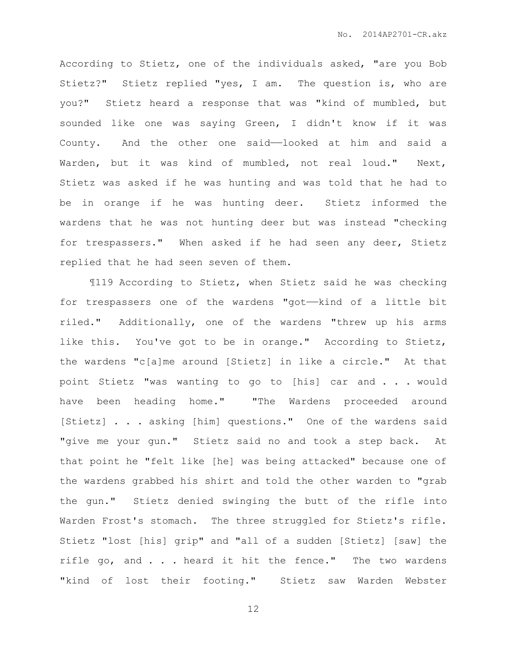According to Stietz, one of the individuals asked, "are you Bob Stietz?" Stietz replied "yes, I am. The question is, who are you?" Stietz heard a response that was "kind of mumbled, but sounded like one was saying Green, I didn't know if it was County. And the other one said——looked at him and said a Warden, but it was kind of mumbled, not real loud." Next, Stietz was asked if he was hunting and was told that he had to be in orange if he was hunting deer. Stietz informed the wardens that he was not hunting deer but was instead "checking for trespassers." When asked if he had seen any deer, Stietz replied that he had seen seven of them.

¶119 According to Stietz, when Stietz said he was checking for trespassers one of the wardens "got——kind of a little bit riled." Additionally, one of the wardens "threw up his arms like this. You've got to be in orange." According to Stietz, the wardens "c[a]me around [Stietz] in like a circle." At that point Stietz "was wanting to go to [his] car and . . . would have been heading home." "The Wardens proceeded around [Stietz] . . . asking [him] questions." One of the wardens said "give me your gun." Stietz said no and took a step back. At that point he "felt like [he] was being attacked" because one of the wardens grabbed his shirt and told the other warden to "grab the gun." Stietz denied swinging the butt of the rifle into Warden Frost's stomach. The three struggled for Stietz's rifle. Stietz "lost [his] grip" and "all of a sudden [Stietz] [saw] the rifle go, and . . . heard it hit the fence." The two wardens "kind of lost their footing." Stietz saw Warden Webster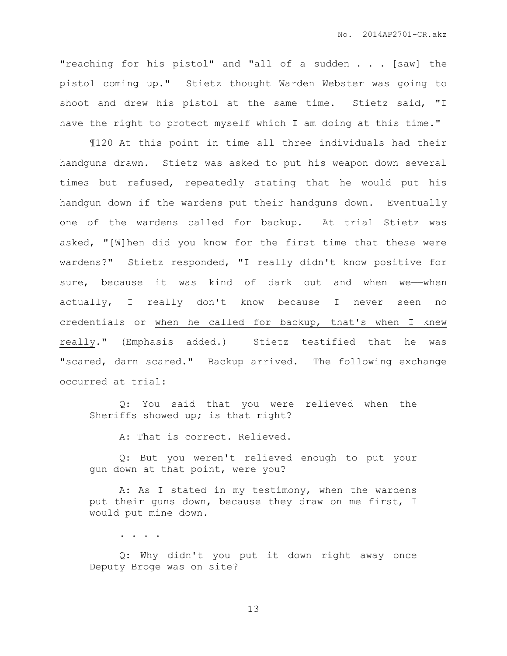"reaching for his pistol" and "all of a sudden . . . [saw] the pistol coming up." Stietz thought Warden Webster was going to shoot and drew his pistol at the same time. Stietz said, "I have the right to protect myself which I am doing at this time."

¶120 At this point in time all three individuals had their handguns drawn. Stietz was asked to put his weapon down several times but refused, repeatedly stating that he would put his handgun down if the wardens put their handguns down. Eventually one of the wardens called for backup. At trial Stietz was asked, "[W]hen did you know for the first time that these were wardens?" Stietz responded, "I really didn't know positive for sure, because it was kind of dark out and when we-when actually, I really don't know because I never seen no credentials or when he called for backup, that's when I knew really." (Emphasis added.) Stietz testified that he was "scared, darn scared." Backup arrived. The following exchange occurred at trial:

Q: You said that you were relieved when the Sheriffs showed up; is that right?

A: That is correct. Relieved.

Q: But you weren't relieved enough to put your gun down at that point, were you?

A: As I stated in my testimony, when the wardens put their guns down, because they draw on me first, I would put mine down.

. . . .

Q: Why didn't you put it down right away once Deputy Broge was on site?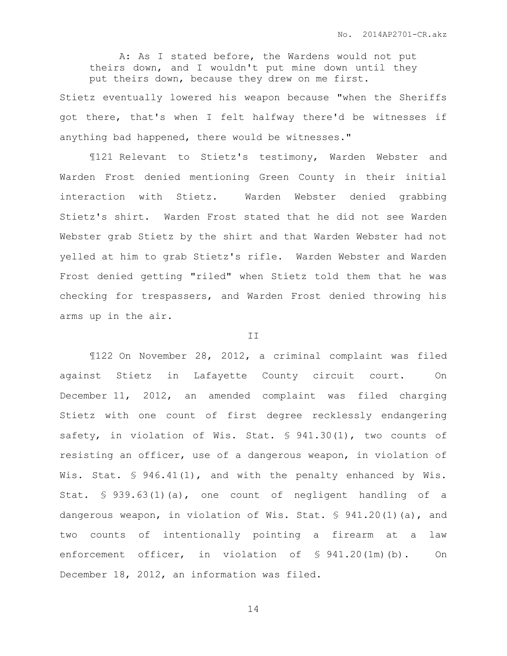A: As I stated before, the Wardens would not put theirs down, and I wouldn't put mine down until they put theirs down, because they drew on me first.

Stietz eventually lowered his weapon because "when the Sheriffs got there, that's when I felt halfway there'd be witnesses if anything bad happened, there would be witnesses."

¶121 Relevant to Stietz's testimony, Warden Webster and Warden Frost denied mentioning Green County in their initial interaction with Stietz. Warden Webster denied grabbing Stietz's shirt. Warden Frost stated that he did not see Warden Webster grab Stietz by the shirt and that Warden Webster had not yelled at him to grab Stietz's rifle. Warden Webster and Warden Frost denied getting "riled" when Stietz told them that he was checking for trespassers, and Warden Frost denied throwing his arms up in the air.

## II

¶122 On November 28, 2012, a criminal complaint was filed against Stietz in Lafayette County circuit court. On December 11, 2012, an amended complaint was filed charging Stietz with one count of first degree recklessly endangering safety, in violation of Wis. Stat. § 941.30(1), two counts of resisting an officer, use of a dangerous weapon, in violation of Wis. Stat. § 946.41(1), and with the penalty enhanced by Wis. Stat. § 939.63(1)(a), one count of negligent handling of a dangerous weapon, in violation of Wis. Stat. § 941.20(1)(a), and two counts of intentionally pointing a firearm at a law enforcement officer, in violation of § 941.20(1m)(b). On December 18, 2012, an information was filed.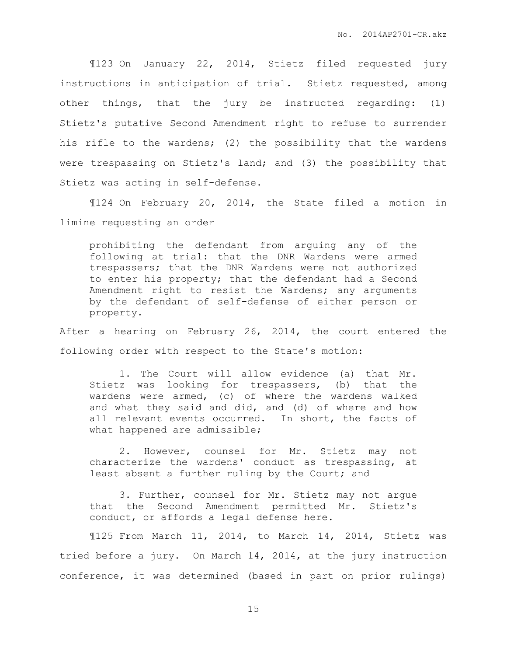¶123 On January 22, 2014, Stietz filed requested jury instructions in anticipation of trial. Stietz requested, among other things, that the jury be instructed regarding: (1) Stietz's putative Second Amendment right to refuse to surrender his rifle to the wardens; (2) the possibility that the wardens were trespassing on Stietz's land; and (3) the possibility that Stietz was acting in self-defense.

¶124 On February 20, 2014, the State filed a motion in limine requesting an order

prohibiting the defendant from arguing any of the following at trial: that the DNR Wardens were armed trespassers; that the DNR Wardens were not authorized to enter his property; that the defendant had a Second Amendment right to resist the Wardens; any arguments by the defendant of self-defense of either person or property.

After a hearing on February 26, 2014, the court entered the following order with respect to the State's motion:

1. The Court will allow evidence (a) that Mr. Stietz was looking for trespassers, (b) that the wardens were armed, (c) of where the wardens walked and what they said and did, and (d) of where and how all relevant events occurred. In short, the facts of what happened are admissible;

2. However, counsel for Mr. Stietz may not characterize the wardens' conduct as trespassing, at least absent a further ruling by the Court; and

3. Further, counsel for Mr. Stietz may not argue that the Second Amendment permitted Mr. Stietz's conduct, or affords a legal defense here.

¶125 From March 11, 2014, to March 14, 2014, Stietz was tried before a jury. On March 14, 2014, at the jury instruction conference, it was determined (based in part on prior rulings)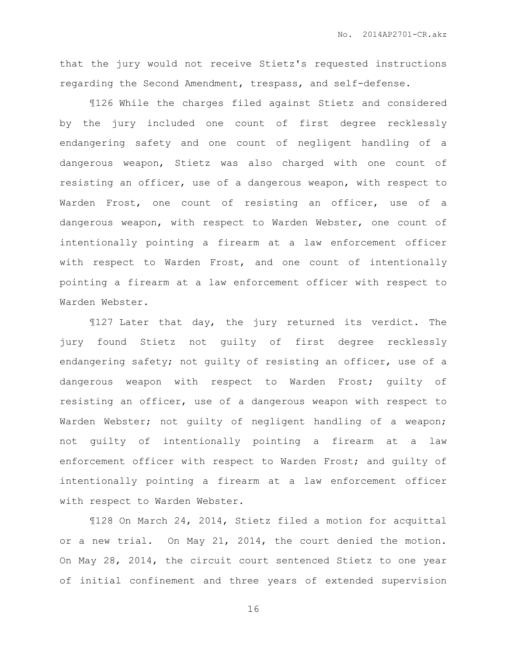that the jury would not receive Stietz's requested instructions regarding the Second Amendment, trespass, and self-defense.

¶126 While the charges filed against Stietz and considered by the jury included one count of first degree recklessly endangering safety and one count of negligent handling of a dangerous weapon, Stietz was also charged with one count of resisting an officer, use of a dangerous weapon, with respect to Warden Frost, one count of resisting an officer, use of a dangerous weapon, with respect to Warden Webster, one count of intentionally pointing a firearm at a law enforcement officer with respect to Warden Frost, and one count of intentionally pointing a firearm at a law enforcement officer with respect to Warden Webster.

¶127 Later that day, the jury returned its verdict. The jury found Stietz not guilty of first degree recklessly endangering safety; not guilty of resisting an officer, use of a dangerous weapon with respect to Warden Frost; guilty of resisting an officer, use of a dangerous weapon with respect to Warden Webster; not quilty of negligent handling of a weapon; not guilty of intentionally pointing a firearm at a law enforcement officer with respect to Warden Frost; and guilty of intentionally pointing a firearm at a law enforcement officer with respect to Warden Webster.

¶128 On March 24, 2014, Stietz filed a motion for acquittal or a new trial. On May 21, 2014, the court denied the motion. On May 28, 2014, the circuit court sentenced Stietz to one year of initial confinement and three years of extended supervision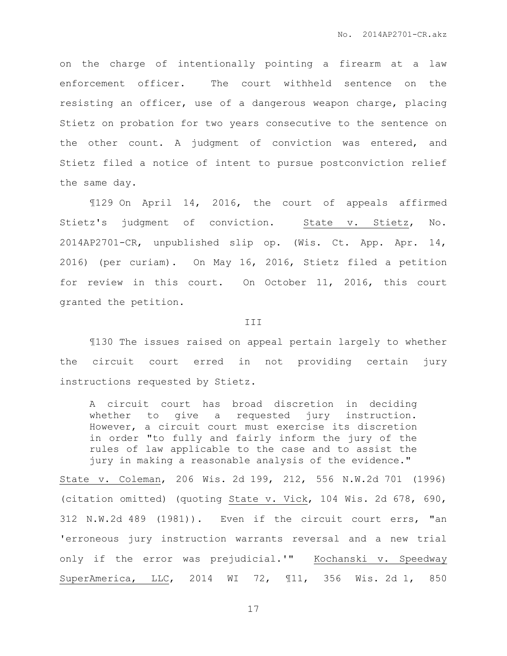on the charge of intentionally pointing a firearm at a law enforcement officer. The court withheld sentence on the resisting an officer, use of a dangerous weapon charge, placing Stietz on probation for two years consecutive to the sentence on the other count. A judgment of conviction was entered, and Stietz filed a notice of intent to pursue postconviction relief the same day.

¶129 On April 14, 2016, the court of appeals affirmed Stietz's judgment of conviction. State v. Stietz, No. 2014AP2701-CR, unpublished slip op. (Wis. Ct. App. Apr. 14, 2016) (per curiam). On May 16, 2016, Stietz filed a petition for review in this court. On October 11, 2016, this court granted the petition.

## **III**

¶130 The issues raised on appeal pertain largely to whether the circuit court erred in not providing certain jury instructions requested by Stietz.

A circuit court has broad discretion in deciding whether to give a requested jury instruction. However, a circuit court must exercise its discretion in order "to fully and fairly inform the jury of the rules of law applicable to the case and to assist the jury in making a reasonable analysis of the evidence."

State v. Coleman, 206 Wis. 2d 199, 212, 556 N.W.2d 701 (1996) (citation omitted) (quoting State v. Vick, 104 Wis. 2d 678, 690, 312 N.W.2d 489 (1981)). Even if the circuit court errs, "an 'erroneous jury instruction warrants reversal and a new trial only if the error was prejudicial.'" Kochanski v. Speedway SuperAmerica, LLC, 2014 WI 72, ¶11, 356 Wis. 2d 1, 850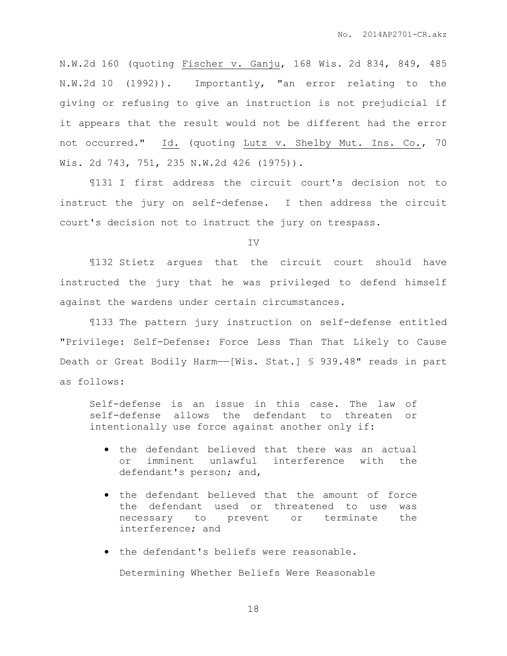N.W.2d 160 (quoting Fischer v. Ganju, 168 Wis. 2d 834, 849, 485 N.W.2d 10 (1992)). Importantly, "an error relating to the giving or refusing to give an instruction is not prejudicial if it appears that the result would not be different had the error not occurred." Id. (quoting Lutz v. Shelby Mut. Ins. Co., 70 Wis. 2d 743, 751, 235 N.W.2d 426 (1975)).

¶131 I first address the circuit court's decision not to instruct the jury on self-defense. I then address the circuit court's decision not to instruct the jury on trespass.

IV

¶132 Stietz argues that the circuit court should have instructed the jury that he was privileged to defend himself against the wardens under certain circumstances.

¶133 The pattern jury instruction on self-defense entitled "Privilege: Self-Defense: Force Less Than That Likely to Cause Death or Great Bodily Harm-[Wis. Stat.] § 939.48" reads in part as follows:

Self-defense is an issue in this case. The law of self-defense allows the defendant to threaten or intentionally use force against another only if:

- the defendant believed that there was an actual or imminent unlawful interference with the defendant's person; and,
- the defendant believed that the amount of force the defendant used or threatened to use was necessary to prevent or terminate the interference; and
- the defendant's beliefs were reasonable.

Determining Whether Beliefs Were Reasonable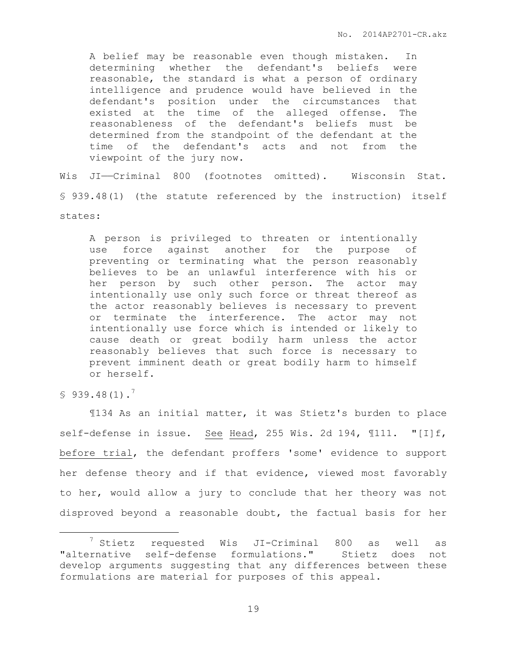A belief may be reasonable even though mistaken. In determining whether the defendant's beliefs were reasonable, the standard is what a person of ordinary intelligence and prudence would have believed in the defendant's position under the circumstances that existed at the time of the alleged offense. The reasonableness of the defendant's beliefs must be determined from the standpoint of the defendant at the time of the defendant's acts and not from the viewpoint of the jury now.

Wis JI—Criminal 800 (footnotes omitted). Wisconsin Stat. § 939.48(1) (the statute referenced by the instruction) itself states:

A person is privileged to threaten or intentionally use force against another for the purpose of preventing or terminating what the person reasonably believes to be an unlawful interference with his or her person by such other person. The actor may intentionally use only such force or threat thereof as the actor reasonably believes is necessary to prevent or terminate the interference. The actor may not intentionally use force which is intended or likely to cause death or great bodily harm unless the actor reasonably believes that such force is necessary to prevent imminent death or great bodily harm to himself or herself.

 $$939.48(1).$ <sup>7</sup>

 $\overline{a}$ 

¶134 As an initial matter, it was Stietz's burden to place self-defense in issue. See Head, 255 Wis. 2d 194, 111. "[I]f, before trial, the defendant proffers 'some' evidence to support her defense theory and if that evidence, viewed most favorably to her, would allow a jury to conclude that her theory was not disproved beyond a reasonable doubt, the factual basis for her

<sup>7</sup> Stietz requested Wis JI-Criminal 800 as well as "alternative self-defense formulations." Stietz does not develop arguments suggesting that any differences between these formulations are material for purposes of this appeal.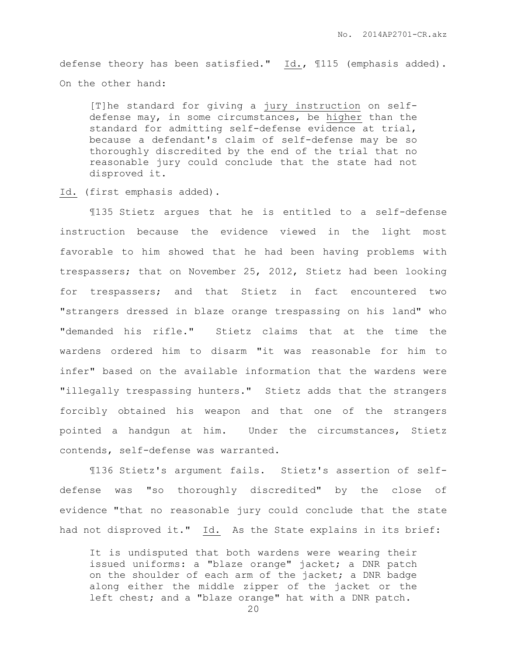defense theory has been satisfied." Id., ¶115 (emphasis added). On the other hand:

[T]he standard for giving a jury instruction on selfdefense may, in some circumstances, be higher than the standard for admitting self-defense evidence at trial, because a defendant's claim of self-defense may be so thoroughly discredited by the end of the trial that no reasonable jury could conclude that the state had not disproved it.

Id. (first emphasis added).

¶135 Stietz argues that he is entitled to a self-defense instruction because the evidence viewed in the light most favorable to him showed that he had been having problems with trespassers; that on November 25, 2012, Stietz had been looking for trespassers; and that Stietz in fact encountered two "strangers dressed in blaze orange trespassing on his land" who "demanded his rifle." Stietz claims that at the time the wardens ordered him to disarm "it was reasonable for him to infer" based on the available information that the wardens were "illegally trespassing hunters." Stietz adds that the strangers forcibly obtained his weapon and that one of the strangers pointed a handgun at him. Under the circumstances, Stietz contends, self-defense was warranted.

¶136 Stietz's argument fails. Stietz's assertion of selfdefense was "so thoroughly discredited" by the close of evidence "that no reasonable jury could conclude that the state had not disproved it." Id. As the State explains in its brief:

It is undisputed that both wardens were wearing their issued uniforms: a "blaze orange" jacket; a DNR patch on the shoulder of each arm of the jacket; a DNR badge along either the middle zipper of the jacket or the left chest; and a "blaze orange" hat with a DNR patch.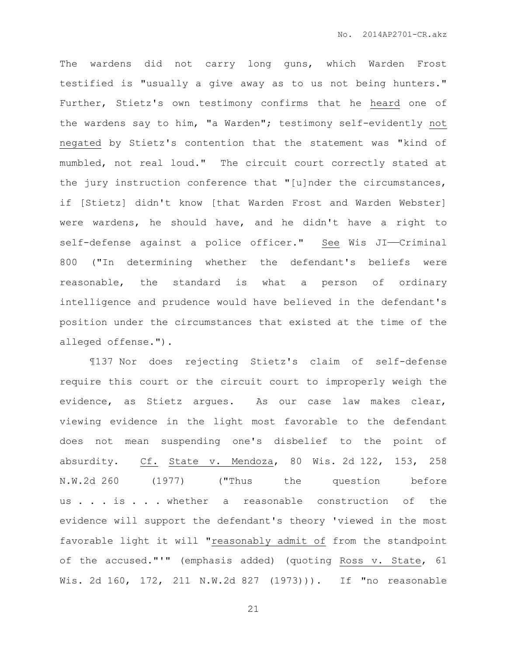The wardens did not carry long guns, which Warden Frost testified is "usually a give away as to us not being hunters." Further, Stietz's own testimony confirms that he heard one of the wardens say to him, "a Warden"; testimony self-evidently not negated by Stietz's contention that the statement was "kind of mumbled, not real loud." The circuit court correctly stated at the jury instruction conference that "[u]nder the circumstances, if [Stietz] didn't know [that Warden Frost and Warden Webster] were wardens, he should have, and he didn't have a right to self-defense against a police officer." See Wis JI-Criminal 800 ("In determining whether the defendant's beliefs were reasonable, the standard is what a person of ordinary intelligence and prudence would have believed in the defendant's position under the circumstances that existed at the time of the alleged offense.").

¶137 Nor does rejecting Stietz's claim of self-defense require this court or the circuit court to improperly weigh the evidence, as Stietz argues. As our case law makes clear, viewing evidence in the light most favorable to the defendant does not mean suspending one's disbelief to the point of absurdity. Cf. State v. Mendoza, 80 Wis. 2d 122, 153, 258 N.W.2d 260 (1977) ("Thus the question before us . . . is . . . whether a reasonable construction of the evidence will support the defendant's theory 'viewed in the most favorable light it will "reasonably admit of from the standpoint of the accused."'" (emphasis added) (quoting Ross v. State, 61 Wis. 2d 160, 172, 211 N.W.2d 827 (1973))). If "no reasonable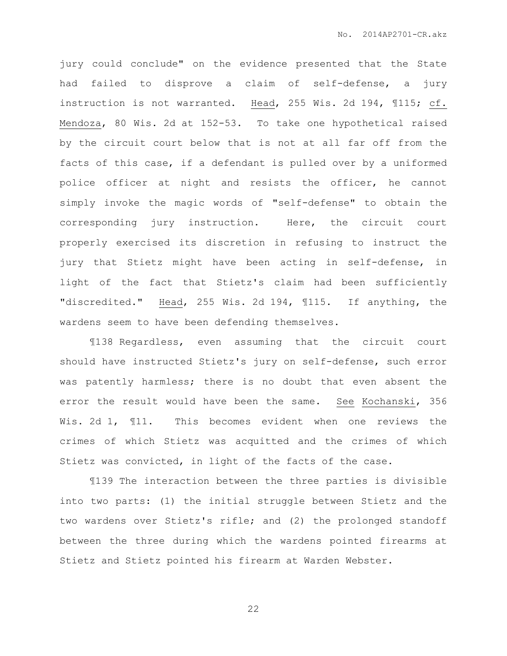jury could conclude" on the evidence presented that the State had failed to disprove a claim of self-defense, a jury instruction is not warranted. Head, 255 Wis. 2d 194, ¶115; cf. Mendoza, 80 Wis. 2d at 152-53. To take one hypothetical raised by the circuit court below that is not at all far off from the facts of this case, if a defendant is pulled over by a uniformed police officer at night and resists the officer, he cannot simply invoke the magic words of "self-defense" to obtain the corresponding jury instruction. Here, the circuit court properly exercised its discretion in refusing to instruct the jury that Stietz might have been acting in self-defense, in light of the fact that Stietz's claim had been sufficiently "discredited." Head, 255 Wis. 2d 194, ¶115. If anything, the wardens seem to have been defending themselves.

¶138 Regardless, even assuming that the circuit court should have instructed Stietz's jury on self-defense, such error was patently harmless; there is no doubt that even absent the error the result would have been the same. See Kochanski, 356 Wis. 2d 1, ¶11. This becomes evident when one reviews the crimes of which Stietz was acquitted and the crimes of which Stietz was convicted, in light of the facts of the case.

¶139 The interaction between the three parties is divisible into two parts: (1) the initial struggle between Stietz and the two wardens over Stietz's rifle; and (2) the prolonged standoff between the three during which the wardens pointed firearms at Stietz and Stietz pointed his firearm at Warden Webster.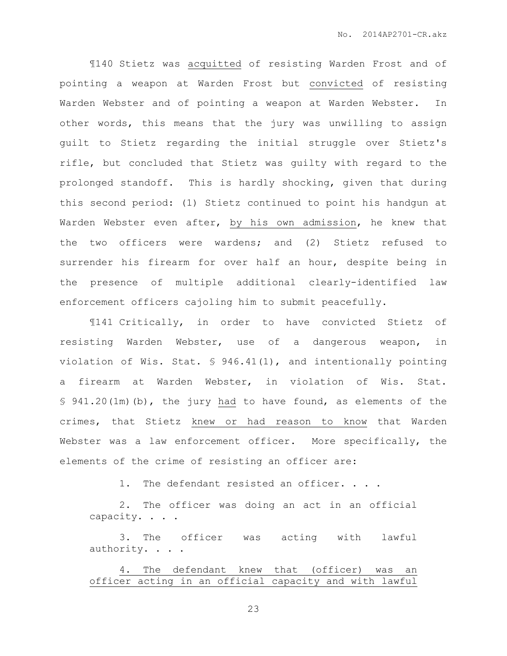¶140 Stietz was acquitted of resisting Warden Frost and of pointing a weapon at Warden Frost but convicted of resisting Warden Webster and of pointing a weapon at Warden Webster. In other words, this means that the jury was unwilling to assign guilt to Stietz regarding the initial struggle over Stietz's rifle, but concluded that Stietz was guilty with regard to the prolonged standoff. This is hardly shocking, given that during this second period: (1) Stietz continued to point his handgun at Warden Webster even after, by his own admission, he knew that the two officers were wardens; and (2) Stietz refused to surrender his firearm for over half an hour, despite being in the presence of multiple additional clearly-identified law enforcement officers cajoling him to submit peacefully.

¶141 Critically, in order to have convicted Stietz of resisting Warden Webster, use of a dangerous weapon, in violation of Wis. Stat. § 946.41(1), and intentionally pointing a firearm at Warden Webster, in violation of Wis. Stat. § 941.20(1m)(b), the jury had to have found, as elements of the crimes, that Stietz knew or had reason to know that Warden Webster was a law enforcement officer. More specifically, the elements of the crime of resisting an officer are:

1. The defendant resisted an officer. . . .

2. The officer was doing an act in an official capacity. . . .

3. The officer was acting with lawful authority. . . .

4. The defendant knew that (officer) was an officer acting in an official capacity and with lawful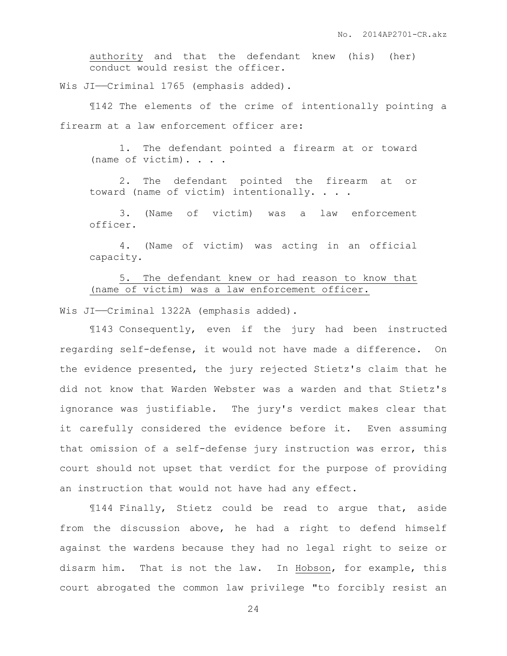authority and that the defendant knew (his) (her) conduct would resist the officer.

Wis JI--Criminal 1765 (emphasis added).

¶142 The elements of the crime of intentionally pointing a firearm at a law enforcement officer are:

1. The defendant pointed a firearm at or toward (name of victim). . . .

2. The defendant pointed the firearm at or toward (name of victim) intentionally. . . .

3. (Name of victim) was a law enforcement officer.

4. (Name of victim) was acting in an official capacity.

5. The defendant knew or had reason to know that (name of victim) was a law enforcement officer.

Wis JI--Criminal 1322A (emphasis added).

¶143 Consequently, even if the jury had been instructed regarding self-defense, it would not have made a difference. On the evidence presented, the jury rejected Stietz's claim that he did not know that Warden Webster was a warden and that Stietz's ignorance was justifiable. The jury's verdict makes clear that it carefully considered the evidence before it. Even assuming that omission of a self-defense jury instruction was error, this court should not upset that verdict for the purpose of providing an instruction that would not have had any effect.

¶144 Finally, Stietz could be read to argue that, aside from the discussion above, he had a right to defend himself against the wardens because they had no legal right to seize or disarm him. That is not the law. In Hobson, for example, this court abrogated the common law privilege "to forcibly resist an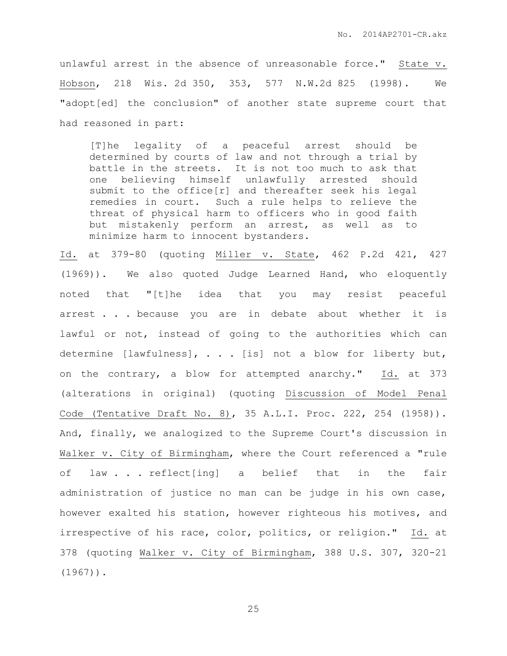unlawful arrest in the absence of unreasonable force." State v. Hobson, 218 Wis. 2d 350, 353, 577 N.W.2d 825 (1998). We "adopt[ed] the conclusion" of another state supreme court that had reasoned in part:

[T]he legality of a peaceful arrest should be determined by courts of law and not through a trial by battle in the streets. It is not too much to ask that one believing himself unlawfully arrested should submit to the office[r] and thereafter seek his legal remedies in court. Such a rule helps to relieve the threat of physical harm to officers who in good faith but mistakenly perform an arrest, as well as to minimize harm to innocent bystanders.

Id. at 379-80 (quoting Miller v. State, 462 P.2d 421, 427 (1969)). We also quoted Judge Learned Hand, who eloquently noted that "[t]he idea that you may resist peaceful arrest . . . because you are in debate about whether it is lawful or not, instead of going to the authorities which can determine [lawfulness], . . . [is] not a blow for liberty but, on the contrary, a blow for attempted anarchy." Id. at 373 (alterations in original) (quoting Discussion of Model Penal Code (Tentative Draft No. 8), 35 A.L.I. Proc. 222, 254 (1958)). And, finally, we analogized to the Supreme Court's discussion in Walker v. City of Birmingham, where the Court referenced a "rule of law . . . reflect[ing] a belief that in the fair administration of justice no man can be judge in his own case, however exalted his station, however righteous his motives, and irrespective of his race, color, politics, or religion." Id. at 378 (quoting Walker v. City of Birmingham, 388 U.S. 307, 320-21  $(1967)$ ).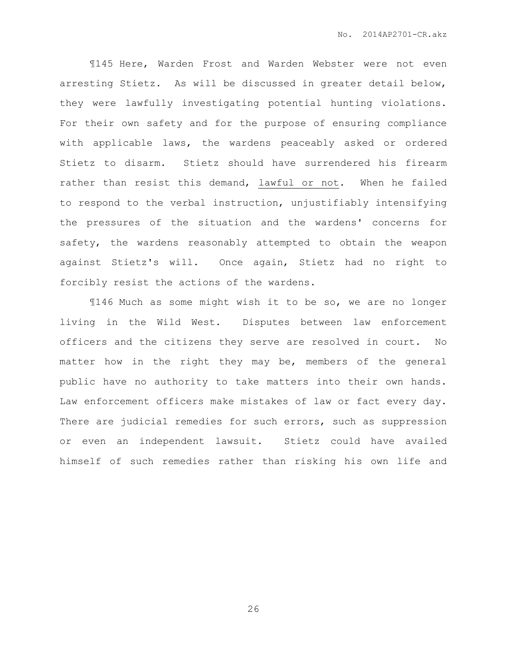¶145 Here, Warden Frost and Warden Webster were not even arresting Stietz. As will be discussed in greater detail below, they were lawfully investigating potential hunting violations. For their own safety and for the purpose of ensuring compliance with applicable laws, the wardens peaceably asked or ordered Stietz to disarm. Stietz should have surrendered his firearm rather than resist this demand, lawful or not. When he failed to respond to the verbal instruction, unjustifiably intensifying the pressures of the situation and the wardens' concerns for safety, the wardens reasonably attempted to obtain the weapon against Stietz's will. Once again, Stietz had no right to forcibly resist the actions of the wardens.

¶146 Much as some might wish it to be so, we are no longer living in the Wild West. Disputes between law enforcement officers and the citizens they serve are resolved in court. No matter how in the right they may be, members of the general public have no authority to take matters into their own hands. Law enforcement officers make mistakes of law or fact every day. There are judicial remedies for such errors, such as suppression or even an independent lawsuit. Stietz could have availed himself of such remedies rather than risking his own life and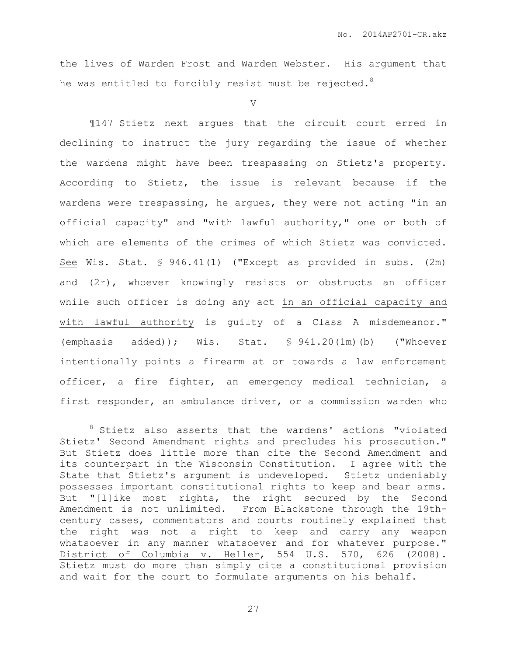the lives of Warden Frost and Warden Webster. His argument that he was entitled to forcibly resist must be rejected.<sup>8</sup>

## V

¶147 Stietz next argues that the circuit court erred in declining to instruct the jury regarding the issue of whether the wardens might have been trespassing on Stietz's property. According to Stietz, the issue is relevant because if the wardens were trespassing, he argues, they were not acting "in an official capacity" and "with lawful authority," one or both of which are elements of the crimes of which Stietz was convicted. See Wis. Stat. § 946.41(1) ("Except as provided in subs. (2m) and (2r), whoever knowingly resists or obstructs an officer while such officer is doing any act in an official capacity and with lawful authority is guilty of a Class A misdemeanor." (emphasis added)); Wis. Stat. § 941.20(1m)(b) ("Whoever intentionally points a firearm at or towards a law enforcement officer, a fire fighter, an emergency medical technician, a first responder, an ambulance driver, or a commission warden who

 $\overline{a}$ 

<sup>8</sup> Stietz also asserts that the wardens' actions "violated Stietz' Second Amendment rights and precludes his prosecution." But Stietz does little more than cite the Second Amendment and its counterpart in the Wisconsin Constitution. I agree with the State that Stietz's argument is undeveloped. Stietz undeniably possesses important constitutional rights to keep and bear arms. But "[l]ike most rights, the right secured by the Second Amendment is not unlimited. From Blackstone through the 19thcentury cases, commentators and courts routinely explained that the right was not a right to keep and carry any weapon whatsoever in any manner whatsoever and for whatever purpose." District of Columbia v. Heller, 554 U.S. 570, 626 (2008). Stietz must do more than simply cite a constitutional provision and wait for the court to formulate arguments on his behalf.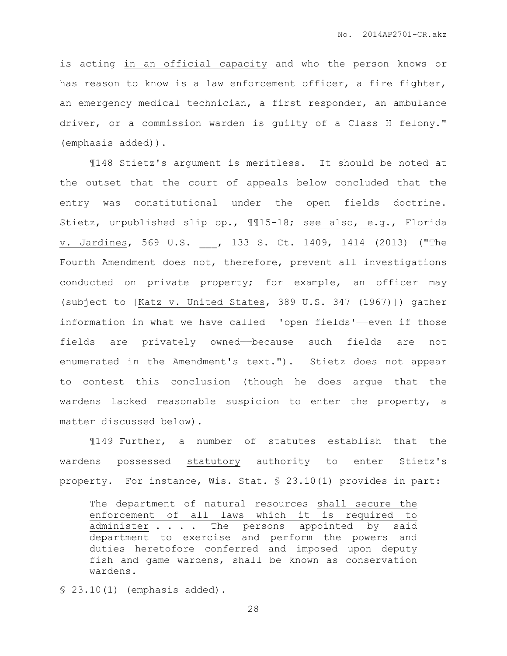is acting in an official capacity and who the person knows or has reason to know is a law enforcement officer, a fire fighter, an emergency medical technician, a first responder, an ambulance driver, or a commission warden is guilty of a Class H felony." (emphasis added)).

¶148 Stietz's argument is meritless. It should be noted at the outset that the court of appeals below concluded that the entry was constitutional under the open fields doctrine. Stietz, unpublished slip op., ¶¶15-18; see also, e.g., Florida v. Jardines, 569 U.S. , 133 S. Ct. 1409, 1414 (2013) ("The Fourth Amendment does not, therefore, prevent all investigations conducted on private property; for example, an officer may (subject to [Katz v. United States, 389 U.S. 347 (1967)]) gather information in what we have called 'open fields'——even if those fields are privately owned—because such fields are not enumerated in the Amendment's text."). Stietz does not appear to contest this conclusion (though he does argue that the wardens lacked reasonable suspicion to enter the property, a matter discussed below).

¶149 Further, a number of statutes establish that the wardens possessed statutory authority to enter Stietz's property. For instance, Wis. Stat. § 23.10(1) provides in part:

The department of natural resources shall secure the enforcement of all laws which it is required to administer . . . The persons appointed by said department to exercise and perform the powers and duties heretofore conferred and imposed upon deputy fish and game wardens, shall be known as conservation wardens.

§ 23.10(1) (emphasis added).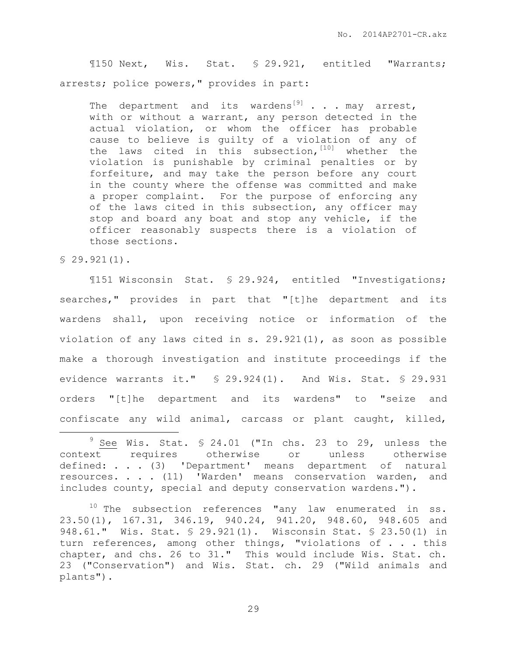¶150 Next, Wis. Stat. § 29.921, entitled "Warrants; arrests; police powers," provides in part:

The department and its wardens<sup>[9]</sup> . . . may arrest, with or without a warrant, any person detected in the actual violation, or whom the officer has probable cause to believe is guilty of a violation of any of the laws cited in this subsection,  $[10]$  whether the violation is punishable by criminal penalties or by forfeiture, and may take the person before any court in the county where the offense was committed and make a proper complaint. For the purpose of enforcing any of the laws cited in this subsection, any officer may stop and board any boat and stop any vehicle, if the officer reasonably suspects there is a violation of those sections.

 $$29.921(1).$ 

 $\overline{a}$ 

¶151 Wisconsin Stat. § 29.924, entitled "Investigations; searches," provides in part that "[t]he department and its wardens shall, upon receiving notice or information of the violation of any laws cited in s. 29.921(1), as soon as possible make a thorough investigation and institute proceedings if the evidence warrants it." § 29.924(1). And Wis. Stat. § 29.931 orders "[t]he department and its wardens" to "seize and confiscate any wild animal, carcass or plant caught, killed,

 $9 \text{ See } \text{Wis. Stat. } $ 24.01$  ("In chs. 23 to 29, unless the context requires otherwise or unless otherwise defined: . . . (3) 'Department' means department of natural resources. . . . (11) 'Warden' means conservation warden, and includes county, special and deputy conservation wardens.").

 $10$  The subsection references "any law enumerated in ss. 23.50(1), 167.31, 346.19, 940.24, 941.20, 948.60, 948.605 and 948.61." Wis. Stat. § 29.921(1). Wisconsin Stat. § 23.50(1) in turn references, among other things, "violations of . . . this chapter, and chs. 26 to 31." This would include Wis. Stat. ch. 23 ("Conservation") and Wis. Stat. ch. 29 ("Wild animals and plants").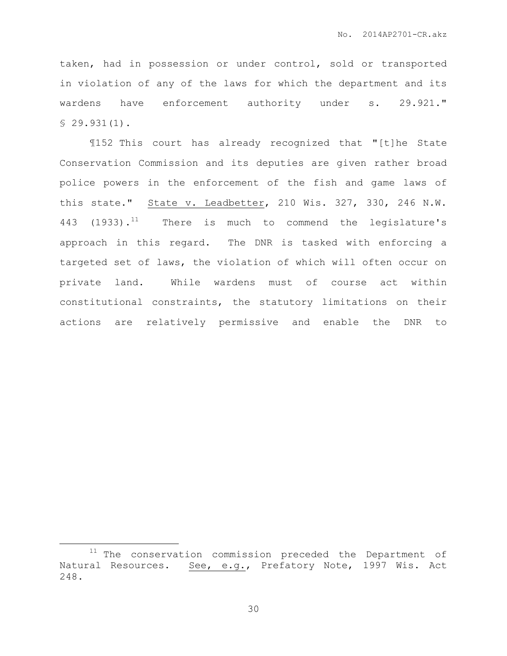taken, had in possession or under control, sold or transported in violation of any of the laws for which the department and its wardens have enforcement authority under s. 29.921." § 29.931(1).

¶152 This court has already recognized that "[t]he State Conservation Commission and its deputies are given rather broad police powers in the enforcement of the fish and game laws of this state." State v. Leadbetter, 210 Wis. 327, 330, 246 N.W. 443 (1933).<sup>11</sup> There is much to commend the legislature's approach in this regard. The DNR is tasked with enforcing a targeted set of laws, the violation of which will often occur on private land. While wardens must of course act within constitutional constraints, the statutory limitations on their actions are relatively permissive and enable the DNR to

 $\overline{a}$ 

 $11$  The conservation commission preceded the Department of Natural Resources. See, e.g., Prefatory Note, 1997 Wis. Act 248.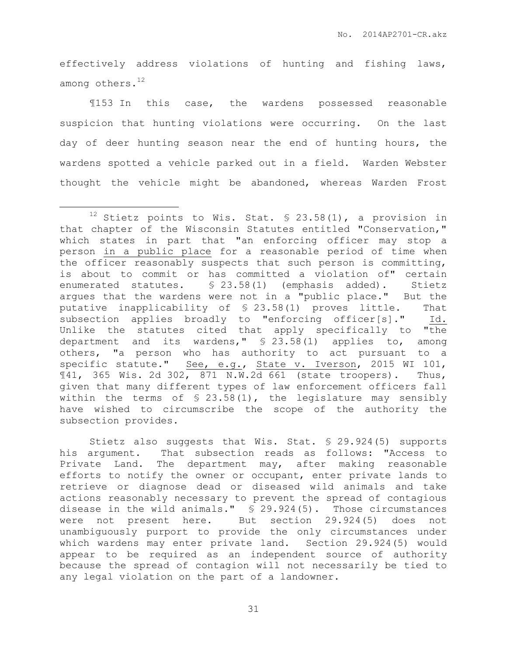effectively address violations of hunting and fishing laws, among others.<sup>12</sup>

¶153 In this case, the wardens possessed reasonable suspicion that hunting violations were occurring. On the last day of deer hunting season near the end of hunting hours, the wardens spotted a vehicle parked out in a field. Warden Webster thought the vehicle might be abandoned, whereas Warden Frost

 $\overline{a}$ 

Stietz also suggests that Wis. Stat. § 29.924(5) supports his argument. That subsection reads as follows: "Access to Private Land. The department may, after making reasonable efforts to notify the owner or occupant, enter private lands to retrieve or diagnose dead or diseased wild animals and take actions reasonably necessary to prevent the spread of contagious disease in the wild animals." § 29.924(5). Those circumstances were not present here. But section 29.924(5) does not unambiguously purport to provide the only circumstances under which wardens may enter private land. Section 29.924(5) would appear to be required as an independent source of authority because the spread of contagion will not necessarily be tied to any legal violation on the part of a landowner.

31

<sup>&</sup>lt;sup>12</sup> Stietz points to Wis. Stat.  $$ 23.58(1)$ , a provision in that chapter of the Wisconsin Statutes entitled "Conservation," which states in part that "an enforcing officer may stop a person in a public place for a reasonable period of time when the officer reasonably suspects that such person is committing, is about to commit or has committed a violation of" certain enumerated statutes. § 23.58(1) (emphasis added). Stietz argues that the wardens were not in a "public place." But the putative inapplicability of § 23.58(1) proves little. That subsection applies broadly to "enforcing officer[s]." Id. Unlike the statutes cited that apply specifically to "the department and its wardens," § 23.58(1) applies to, among others, "a person who has authority to act pursuant to a specific statute." See, e.g., State v. Iverson, 2015 WI 101,  $\text{M41, } 365 \text{ Wis. } 2d \text{ 302, } 871 \text{ N.W. } 2d \text{ 661 (state troopers).}$  Thus, given that many different types of law enforcement officers fall within the terms of  $$ 23.58(1)$ , the legislature may sensibly have wished to circumscribe the scope of the authority the subsection provides.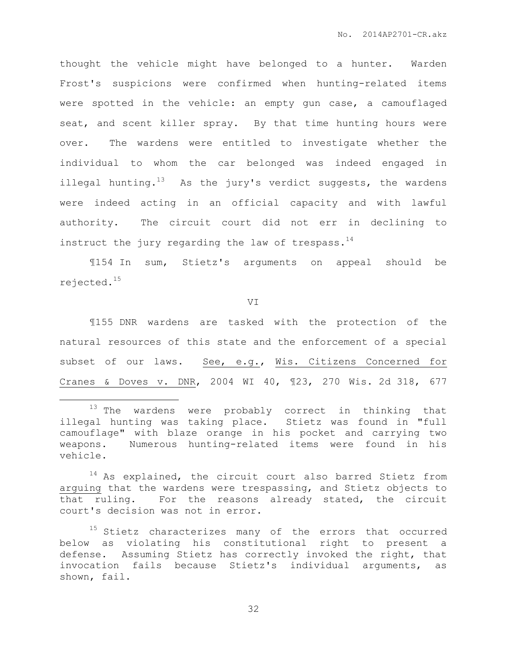thought the vehicle might have belonged to a hunter. Warden Frost's suspicions were confirmed when hunting-related items were spotted in the vehicle: an empty gun case, a camouflaged seat, and scent killer spray. By that time hunting hours were over. The wardens were entitled to investigate whether the individual to whom the car belonged was indeed engaged in illegal hunting.<sup>13</sup> As the jury's verdict suggests, the wardens were indeed acting in an official capacity and with lawful authority. The circuit court did not err in declining to instruct the jury regarding the law of trespass. $^{14}$ 

¶154 In sum, Stietz's arguments on appeal should be rejected.<sup>15</sup>

VI

¶155 DNR wardens are tasked with the protection of the natural resources of this state and the enforcement of a special subset of our laws. See, e.g., Wis. Citizens Concerned for Cranes & Doves v. DNR, 2004 WI 40, ¶23, 270 Wis. 2d 318, 677

 $\overline{a}$ 

32

<sup>&</sup>lt;sup>13</sup> The wardens were probably correct in thinking that illegal hunting was taking place. Stietz was found in "full camouflage" with blaze orange in his pocket and carrying two weapons. Numerous hunting-related items were found in his vehicle.

<sup>&</sup>lt;sup>14</sup> As explained, the circuit court also barred Stietz from arguing that the wardens were trespassing, and Stietz objects to that ruling. For the reasons already stated, the circuit court's decision was not in error.

<sup>&</sup>lt;sup>15</sup> Stietz characterizes many of the errors that occurred below as violating his constitutional right to present a defense. Assuming Stietz has correctly invoked the right, that invocation fails because Stietz's individual arguments, as shown, fail.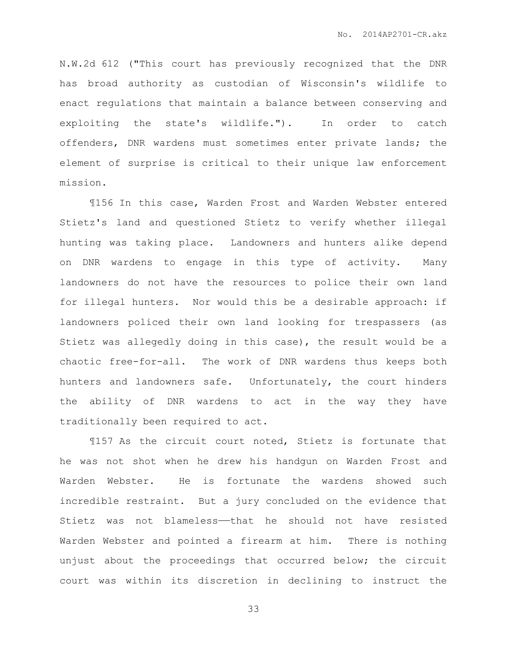N.W.2d 612 ("This court has previously recognized that the DNR has broad authority as custodian of Wisconsin's wildlife to enact regulations that maintain a balance between conserving and exploiting the state's wildlife."). In order to catch offenders, DNR wardens must sometimes enter private lands; the element of surprise is critical to their unique law enforcement mission.

¶156 In this case, Warden Frost and Warden Webster entered Stietz's land and questioned Stietz to verify whether illegal hunting was taking place. Landowners and hunters alike depend on DNR wardens to engage in this type of activity. Many landowners do not have the resources to police their own land for illegal hunters. Nor would this be a desirable approach: if landowners policed their own land looking for trespassers (as Stietz was allegedly doing in this case), the result would be a chaotic free-for-all. The work of DNR wardens thus keeps both hunters and landowners safe. Unfortunately, the court hinders the ability of DNR wardens to act in the way they have traditionally been required to act.

¶157 As the circuit court noted, Stietz is fortunate that he was not shot when he drew his handgun on Warden Frost and Warden Webster. He is fortunate the wardens showed such incredible restraint. But a jury concluded on the evidence that Stietz was not blameless——that he should not have resisted Warden Webster and pointed a firearm at him. There is nothing unjust about the proceedings that occurred below; the circuit court was within its discretion in declining to instruct the

33